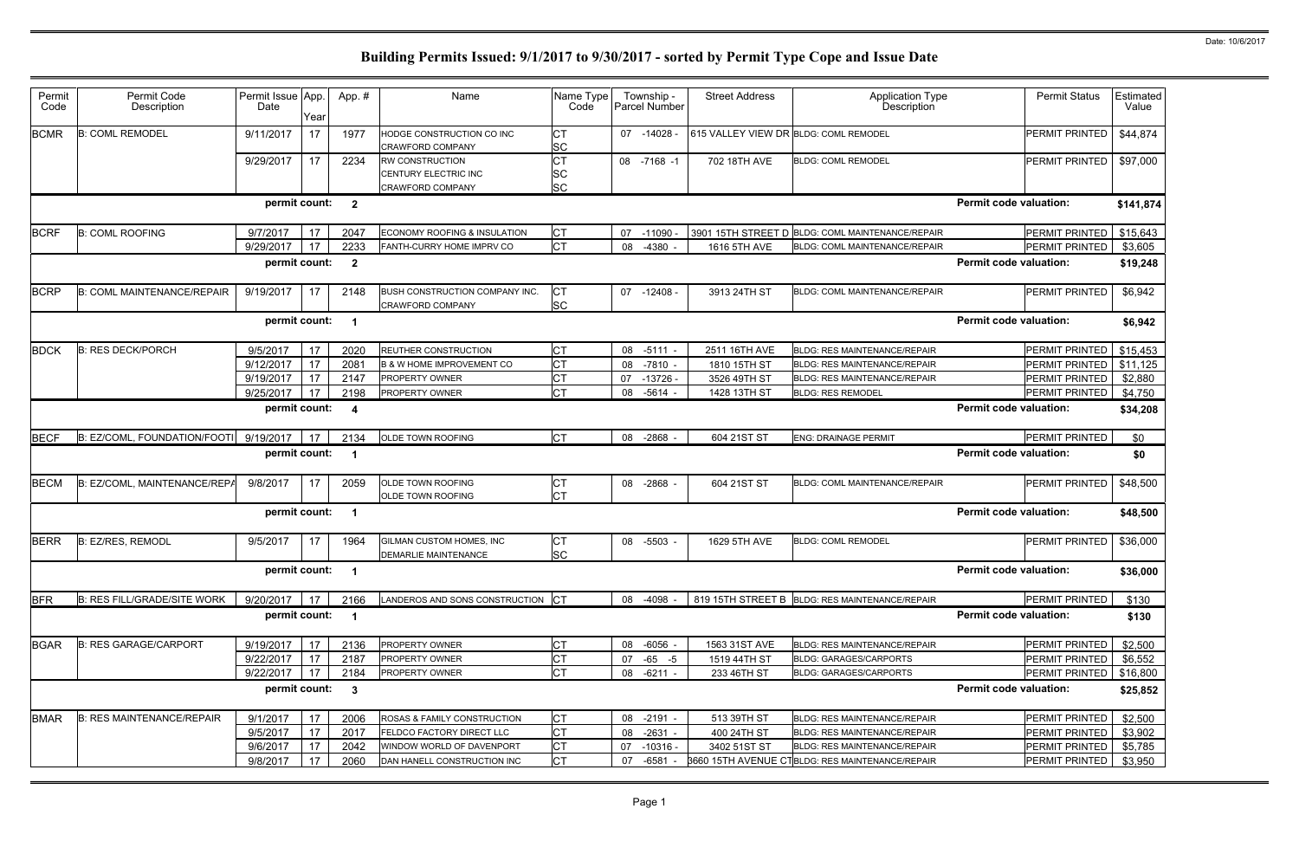| Permit<br>Code                          |                                   |                           |      |                  |                                                                           |                                     |                             |                                       |                                                                                 |                                  |                    |
|-----------------------------------------|-----------------------------------|---------------------------|------|------------------|---------------------------------------------------------------------------|-------------------------------------|-----------------------------|---------------------------------------|---------------------------------------------------------------------------------|----------------------------------|--------------------|
|                                         | Permit Code<br>Description        | Permit Issue App.<br>Date | Year | App.#            | Name                                                                      | Name Type<br>Code                   | Township -<br>Parcel Number | <b>Street Address</b>                 | <b>Application Type</b><br>Description                                          | <b>Permit Status</b>             | Estimated<br>Value |
| <b>BCMR</b><br><b>B: COML REMODEL</b>   |                                   | 9/11/2017                 | 17   | 1977             | HODGE CONSTRUCTION CO INC<br><b>CRAWFORD COMPANY</b>                      | <b>CT</b><br><b>SC</b>              | 07 -14028                   | 615 VALLEY VIEW DR BLDG: COML REMODEL |                                                                                 | <b>PERMIT PRINTED</b>            | \$44,874           |
|                                         |                                   | 9/29/2017                 | 17   | 2234             | <b>RW CONSTRUCTION</b><br>CENTURY ELECTRIC INC<br><b>CRAWFORD COMPANY</b> | <b>CT</b><br><b>SC</b><br><b>SC</b> | 08 -7168 -1                 | 702 18TH AVE                          | <b>BLDG: COML REMODEL</b>                                                       | <b>PERMIT PRINTED</b>            | \$97,000           |
|                                         |                                   | permit count:             |      | $\overline{2}$   |                                                                           |                                     |                             |                                       |                                                                                 | <b>Permit code valuation:</b>    | \$141,874          |
| <b>B: COML ROOFING</b><br><b>BCRF</b>   |                                   | 9/7/2017                  | 17   | 2047             | ECONOMY ROOFING & INSULATION                                              | IСT                                 | 07<br>$-11090 -$            |                                       | 3901 15TH STREET D BLDG: COML MAINTENANCE/REPAIR                                | PERMIT PRINTED                   | \$15,643           |
|                                         |                                   | 9/29/2017                 | 17   | 2233             | FANTH-CURRY HOME IMPRV CO                                                 | <b>CT</b>                           | 08<br>$-4380$               | 1616 5TH AVE                          | <b>BLDG: COML MAINTENANCE/REPAIR</b>                                            | <b>PERMIT PRINTED</b>            | \$3,605            |
|                                         |                                   | permit count:             |      | $\overline{2}$   |                                                                           |                                     |                             |                                       |                                                                                 | <b>Permit code valuation:</b>    | \$19,248           |
| <b>BCRP</b>                             | <b>B: COML MAINTENANCE/REPAIR</b> | 9/19/2017                 | 17   | 2148             | BUSH CONSTRUCTION COMPANY INC.<br><b>CRAWFORD COMPANY</b>                 | <b>CT</b><br><b>SC</b>              | 07 -12408 -                 | 3913 24TH ST                          | <b>BLDG: COML MAINTENANCE/REPAIR</b>                                            | <b>PERMIT PRINTED</b>            | \$6,942            |
|                                         |                                   | permit count:             |      | -1               |                                                                           |                                     |                             |                                       |                                                                                 | <b>Permit code valuation:</b>    | \$6,942            |
| <b>BDCK</b><br><b>B: RES DECK/PORCH</b> |                                   | 9/5/2017                  | 17   | 2020             | <b>REUTHER CONSTRUCTION</b>                                               | Iст                                 | 08<br>$-5111$               | 2511 16TH AVE                         | <b>BLDG: RES MAINTENANCE/REPAIR</b>                                             | PERMIT PRINTED                   | \$15,453           |
|                                         |                                   | 9/12/2017                 | 17   | 2081             | <b>B &amp; W HOME IMPROVEMENT CO</b>                                      | <b>CT</b>                           | $-7810 -$<br>08             | 1810 15TH ST                          | <b>BLDG: RES MAINTENANCE/REPAIR</b>                                             | PERMIT PRINTED                   | \$11,125           |
|                                         |                                   | 9/19/2017                 | 17   | 2147             | <b>PROPERTY OWNER</b>                                                     | <b>CT</b>                           | $-13726 -$<br>07            | 3526 49TH ST                          | <b>BLDG: RES MAINTENANCE/REPAIR</b>                                             | PERMIT PRINTED                   | \$2,880            |
|                                         |                                   | 9/25/2017                 | 17   | 2198             | PROPERTY OWNER                                                            | Iст                                 | $-5614$<br>08               | 1428 13TH ST                          | <b>BLDG: RES REMODEL</b>                                                        | <b>PERMIT PRINTED</b>            | \$4,750            |
|                                         |                                   | permit count:             |      | $\boldsymbol{4}$ |                                                                           |                                     |                             |                                       |                                                                                 | <b>Permit code valuation:</b>    | \$34,208           |
| <b>BECF</b>                             | B: EZ/COML, FOUNDATION/FOOTI      | 9/19/2017                 | 17   | 2134             | OLDE TOWN ROOFING                                                         | <b>ICT</b>                          | 08<br>$-2868$               | 604 21ST ST                           | <b>ENG: DRAINAGE PERMIT</b>                                                     | <b>PERMIT PRINTED</b>            | \$0                |
|                                         |                                   | permit count:             |      | -1               |                                                                           |                                     |                             |                                       |                                                                                 | <b>Permit code valuation:</b>    | \$0                |
| <b>BECM</b>                             | B: EZ/COML, MAINTENANCE/REPA      | 9/8/2017                  | 17   | 2059             | <b>OLDE TOWN ROOFING</b><br><b>OLDE TOWN ROOFING</b>                      | <b>CT</b><br><b>CT</b>              | 08<br>$-2868$               | 604 21ST ST                           | <b>BLDG: COML MAINTENANCE/REPAIR</b>                                            | <b>PERMIT PRINTED</b>            | \$48,500           |
|                                         |                                   | permit count:             |      | -1               |                                                                           |                                     |                             |                                       |                                                                                 | <b>Permit code valuation:</b>    | \$48,500           |
| <b>BERR</b><br>B: EZ/RES, REMODL        |                                   | 9/5/2017                  | 17   | 1964             | <b>GILMAN CUSTOM HOMES. INC</b><br><b>DEMARLIE MAINTENANCE</b>            | IСТ<br><b>SC</b>                    | 08<br>-5503                 | 1629 5TH AVE                          | <b>BLDG: COML REMODEL</b>                                                       | <b>PERMIT PRINTED</b>            | \$36,000           |
|                                         |                                   | permit count:             |      | -1               |                                                                           |                                     |                             |                                       |                                                                                 | <b>Permit code valuation:</b>    | \$36,000           |
| <b>BFR</b>                              | B: RES FILL/GRADE/SITE WORK       | 9/20/2017   17            |      | 2166             | LANDEROS AND SONS CONSTRUCTION CT                                         |                                     | 08 -4098 -                  |                                       | 819 15TH STREET B BLDG: RES MAINTENANCE/REPAIR                                  | <b>PERMIT PRINTED</b>            | \$130              |
|                                         |                                   | permit count:             |      | $\mathbf 1$      |                                                                           |                                     |                             |                                       |                                                                                 | <b>Permit code valuation:</b>    | \$130              |
| <b>BGAR</b>                             | <b>B: RES GARAGE/CARPORT</b>      | 9/19/2017                 | 17   | 2136             | PROPERTY OWNER                                                            | <b>CT</b>                           | $-6056 -$<br>08             | 1563 31ST AVE                         | <b>BLDG: RES MAINTENANCE/REPAIR</b>                                             | PERMIT PRINTED                   | \$2,500            |
|                                         |                                   | 9/22/2017                 | 17   | 2187             | PROPERTY OWNER                                                            | <b>CT</b>                           | $-65 - 5$<br>07             | 1519 44TH ST                          | <b>BLDG: GARAGES/CARPORTS</b>                                                   | PERMIT PRINTED                   | \$6,552            |
|                                         |                                   | 9/22/2017                 | 17   | 2184             | PROPERTY OWNER                                                            | IСТ                                 | $-6211 -$<br>08             | 233 46TH ST                           | <b>BLDG: GARAGES/CARPORTS</b>                                                   | PERMIT PRINTED                   | \$16,800           |
|                                         |                                   | permit count:             |      | 3                |                                                                           |                                     |                             |                                       |                                                                                 | <b>Permit code valuation:</b>    | \$25,852           |
|                                         |                                   |                           |      |                  |                                                                           |                                     |                             |                                       |                                                                                 |                                  |                    |
| <b>BMAR</b>                             | <b>B: RES MAINTENANCE/REPAIR</b>  | 9/1/2017                  | 17   | 2006             | ROSAS & FAMILY CONSTRUCTION                                               | <b>CT</b>                           | 08 -2191 -                  | 513 39TH ST                           | BLDG: RES MAINTENANCE/REPAIR                                                    | PERMIT PRINTED                   | \$2,500            |
|                                         |                                   | 9/5/2017                  | 17   | 2017             | <b>FELDCO FACTORY DIRECT LLC</b>                                          | <b>CT</b>                           | $-2631 -$<br>08             | 400 24TH ST                           | <b>BLDG: RES MAINTENANCE/REPAIR</b>                                             | PERMIT PRINTED                   | \$3,902            |
|                                         |                                   | 9/6/2017<br>9/8/2017      | 17   | 2042<br>2060     | WINDOW WORLD OF DAVENPORT<br>DAN HANELL CONSTRUCTION INC                  | <b>CT</b><br><b>CT</b>              | $-10316 -$<br>07            | 3402 51ST ST                          | BLDG: RES MAINTENANCE/REPAIR<br>3660 15TH AVENUE CTBLDG: RES MAINTENANCE/REPAIR | PERMIT PRINTED<br>PERMIT PRINTED | \$5,785<br>\$3,950 |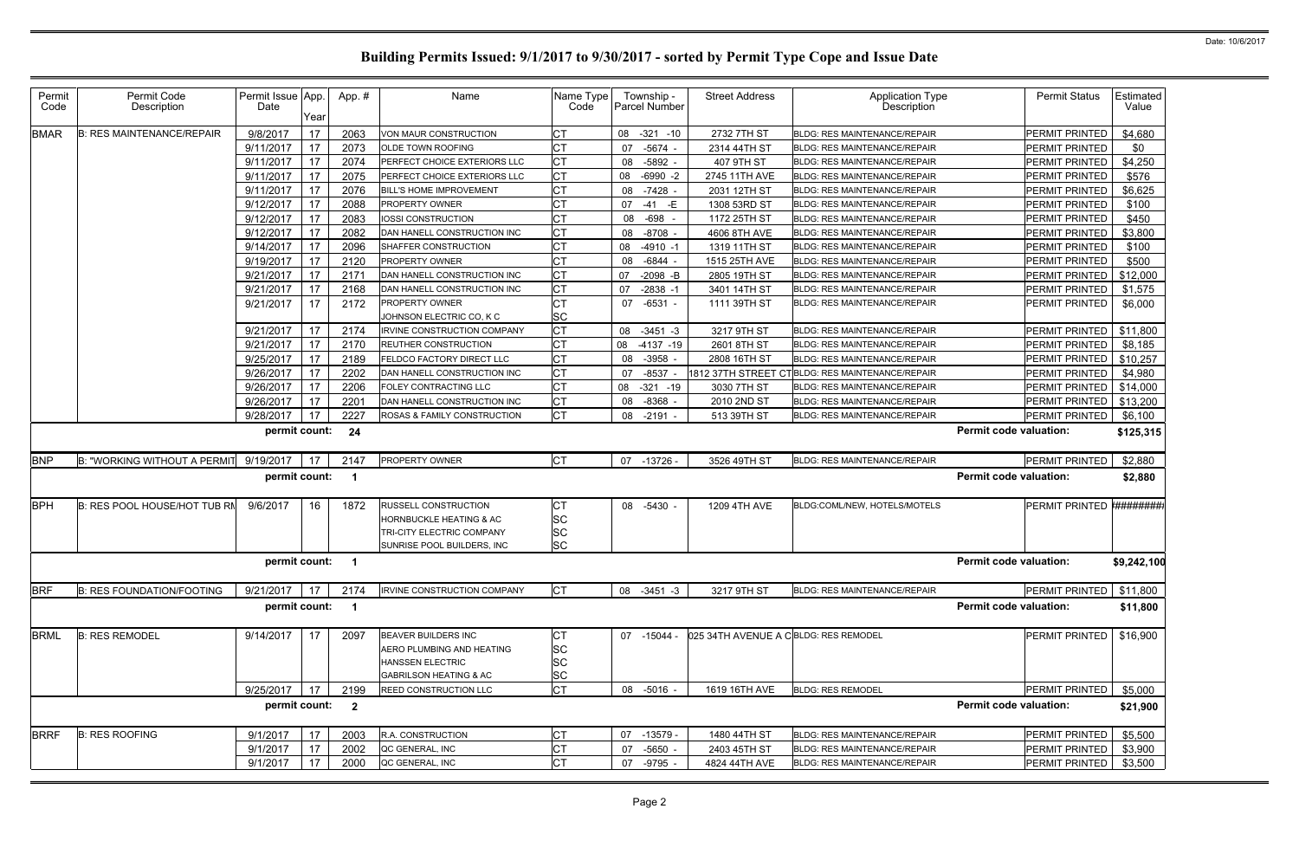| Permit<br>Code | Permit Code<br>Description             | Permit Issue App.<br>Date | Year     | App.#                   | Name                                             | Name Type<br>Code      | Township -<br>Parcel Number    | <b>Street Address</b>                | <b>Application Type</b><br>Description                              | <b>Permit Status</b>                    | Estimated<br>Value |
|----------------|----------------------------------------|---------------------------|----------|-------------------------|--------------------------------------------------|------------------------|--------------------------------|--------------------------------------|---------------------------------------------------------------------|-----------------------------------------|--------------------|
| <b>BMAR</b>    | <b>B: RES MAINTENANCE/REPAIR</b>       | 9/8/2017                  | 17       | 2063                    | VON MAUR CONSTRUCTION                            | СT                     | 08 -321 -10                    | 2732 7TH ST                          | <b>BLDG: RES MAINTENANCE/REPAIR</b>                                 | <b>PERMIT PRINTED</b>                   | \$4,680            |
|                |                                        | 9/11/2017                 | 17       | 2073                    | <b>OLDE TOWN ROOFING</b>                         | <b>CT</b>              | $-5674 -$<br>07                | 2314 44TH ST                         | <b>BLDG: RES MAINTENANCE/REPAIR</b>                                 | <b>PERMIT PRINTED</b>                   | \$0                |
|                |                                        | 9/11/2017                 | 17       | 2074                    | PERFECT CHOICE EXTERIORS LLC                     | <b>CT</b>              | $-5892 -$<br>08                | 407 9TH ST                           | <b>BLDG: RES MAINTENANCE/REPAIR</b>                                 | <b>PERMIT PRINTED</b>                   | \$4,250            |
|                |                                        | 9/11/2017                 | 17       | 2075                    | PERFECT CHOICE EXTERIORS LLC                     | <b>CT</b>              | $-6990 -2$<br>08               | 2745 11TH AVE                        | <b>BLDG: RES MAINTENANCE/REPAIR</b>                                 | PERMIT PRINTED                          | \$576              |
|                |                                        | 9/11/2017                 | 17       | 2076                    | BILL'S HOME IMPROVEMENT                          | <b>CT</b>              | 08<br>$-7428 -$                | 2031 12TH ST                         | <b>BLDG: RES MAINTENANCE/REPAIR</b>                                 | <b>PERMIT PRINTED</b>                   | \$6,625            |
|                |                                        | 9/12/2017                 | 17       | 2088                    | PROPERTY OWNER                                   | <b>CT</b>              | 07<br>-41 -E                   | 1308 53RD ST                         | BLDG: RES MAINTENANCE/REPAIR                                        | <b>PERMIT PRINTED</b>                   | \$100              |
|                |                                        | 9/12/2017                 | 17       | 2083                    | IOSSI CONSTRUCTION                               |                        | -698<br>08                     | 1172 25TH ST                         | <b>BLDG: RES MAINTENANCE/REPAIR</b>                                 | PERMIT PRINTED                          | \$450              |
|                |                                        | 9/12/2017                 | 17       | 2082                    | DAN HANELL CONSTRUCTION INC                      | <b>CT</b>              | 08<br>$-8708 -$                | 4606 8TH AVE                         | BLDG: RES MAINTENANCE/REPAIR                                        | PERMIT PRINTED                          | \$3,800            |
|                |                                        | 9/14/2017                 | 17       | 2096                    | SHAFFER CONSTRUCTION                             | <b>CT</b>              | $-4910 -1$<br>08               | 1319 11TH ST                         | <b>BLDG: RES MAINTENANCE/REPAIR</b>                                 | PERMIT PRINTED                          | \$100              |
|                |                                        | 9/19/2017                 | 17       | 2120                    | <b>PROPERTY OWNER</b>                            | <b>CT</b>              | $-6844 -$<br>08                | 1515 25TH AVE                        | <b>BLDG: RES MAINTENANCE/REPAIR</b>                                 | PERMIT PRINTED                          | \$500              |
|                |                                        | 9/21/2017                 | 17       | 2171                    | DAN HANELL CONSTRUCTION INC                      | <b>CT</b>              | $-2098$ -B<br>07               | 2805 19TH ST                         | BLDG: RES MAINTENANCE/REPAIR                                        | PERMIT PRINTED                          | \$12,000           |
|                |                                        | 9/21/2017                 | 17       | 2168                    | DAN HANELL CONSTRUCTION INC                      | <b>CT</b>              | 07<br>$-2838 - 1$              | 3401 14TH ST                         | BLDG: RES MAINTENANCE/REPAIR                                        | PERMIT PRINTED                          | \$1,575            |
|                |                                        | 9/21/2017                 | 17       | 2172                    | <b>PROPERTY OWNER</b>                            | <b>CT</b>              | $-6531 -$<br>07                | 1111 39TH ST                         | <b>BLDG: RES MAINTENANCE/REPAIR</b>                                 | <b>PERMIT PRINTED</b>                   | \$6,000            |
|                |                                        |                           |          |                         | JOHNSON ELECTRIC CO, K C                         | <b>SC</b>              |                                |                                      |                                                                     |                                         |                    |
|                |                                        | 9/21/2017                 | 17       | 2174                    | <b>IRVINE CONSTRUCTION COMPANY</b>               | <b>CT</b>              | 08 -3451 -3                    | 3217 9TH ST                          | BLDG: RES MAINTENANCE/REPAIR                                        | PERMIT PRINTED                          | \$11,800           |
|                |                                        | 9/21/2017                 | 17       | 2170                    | REUTHER CONSTRUCTION                             | <b>CT</b>              | 08 -4137 -19                   | 2601 8TH ST                          | BLDG: RES MAINTENANCE/REPAIR                                        | PERMIT PRINTED                          | \$8,185            |
|                |                                        | 9/25/2017                 | 17       | 2189                    | FELDCO FACTORY DIRECT LLC                        | <b>CT</b>              | $-3958 -$<br>08                | 2808 16TH ST                         | <b>BLDG: RES MAINTENANCE/REPAIR</b>                                 | PERMIT PRINTED                          | \$10,257           |
|                |                                        | 9/26/2017                 | 17       | 2202                    | DAN HANELL CONSTRUCTION INC                      | <b>CT</b>              | $-8537$<br>07                  | 1812 37TH STREET CT                  | <b>BLDG: RES MAINTENANCE/REPAIR</b>                                 | PERMIT PRINTED                          | \$4,980            |
|                |                                        | 9/26/2017                 | 17       | 2206                    | FOLEY CONTRACTING LLC                            | <b>CT</b>              | $-321 - 19$<br>08              | 3030 7TH ST                          | <b>BLDG: RES MAINTENANCE/REPAIR</b>                                 | PERMIT PRINTED                          | \$14,000           |
|                |                                        | 9/26/2017                 | 17       | 2201                    | DAN HANELL CONSTRUCTION INC                      | <b>CT</b>              | 08<br>$-8368 -$                | 2010 2ND ST                          | <b>BLDG: RES MAINTENANCE/REPAIR</b>                                 | PERMIT PRINTED                          | \$13,200           |
|                |                                        | 9/28/2017                 | 17       | 2227                    | ROSAS & FAMILY CONSTRUCTION                      | <b>CT</b>              | 08<br>$-2191$                  | 513 39TH ST                          | <b>BLDG: RES MAINTENANCE/REPAIR</b>                                 | PERMIT PRINTED                          | \$6,100            |
|                |                                        | permit count:             |          | 24                      |                                                  |                        |                                |                                      |                                                                     | <b>Permit code valuation:</b>           | \$125,315          |
| <b>BNP</b>     | B: "WORKING WITHOUT A PERMIT 9/19/2017 |                           | 17       | 2147                    | PROPERTY OWNER                                   | <b>CT</b>              | 07 -13726 -                    | 3526 49TH ST                         | BLDG: RES MAINTENANCE/REPAIR                                        | PERMIT PRINTED                          | \$2,880            |
|                |                                        | permit count:             |          | $\mathbf 1$             |                                                  |                        |                                |                                      |                                                                     | <b>Permit code valuation:</b>           | \$2,880            |
| <b>BPH</b>     | <b>B: RES POOL HOUSE/HOT TUB RN</b>    | 9/6/2017                  | 16       | 1872                    | <b>RUSSELL CONSTRUCTION</b>                      | СT                     | 08<br>$-5430 -$                | 1209 4TH AVE                         | BLDG:COML/NEW, HOTELS/MOTELS                                        | <b>PERMIT PRINTED</b>                   | ########           |
|                |                                        |                           |          |                         | <b>HORNBUCKLE HEATING &amp; AC</b>               | <b>SC</b>              |                                |                                      |                                                                     |                                         |                    |
|                |                                        |                           |          |                         | TRI-CITY ELECTRIC COMPANY                        | <b>SC</b>              |                                |                                      |                                                                     |                                         |                    |
|                |                                        |                           |          |                         | SUNRISE POOL BUILDERS, INC                       | <b>SC</b>              |                                |                                      |                                                                     |                                         |                    |
|                |                                        | permit count: 1           |          |                         |                                                  |                        |                                |                                      |                                                                     | <b>Permit code valuation:</b>           | \$9,242,100        |
| <b>BRF</b>     |                                        |                           |          |                         |                                                  |                        |                                |                                      |                                                                     |                                         |                    |
|                | <b>B: RES FOUNDATION/FOOTING</b>       | 9/21/2017                 | 17       | 2174                    | <b>IRVINE CONSTRUCTION COMPANY</b>               | <b>CT</b>              | 08 -3451 -3                    | 3217 9TH ST                          | <b>BLDG: RES MAINTENANCE/REPAIR</b>                                 | PERMIT PRINTED                          | \$11,800           |
|                |                                        | permit count:             |          | $\mathbf{1}$            |                                                  |                        |                                |                                      |                                                                     | <b>Permit code valuation:</b>           | \$11,800           |
|                |                                        |                           | 17       |                         |                                                  |                        |                                |                                      |                                                                     |                                         |                    |
|                | <b>B: RES REMODEL</b>                  | 9/14/2017                 |          | 2097                    | BEAVER BUILDERS INC<br>AERO PLUMBING AND HEATING | IСТ                    | 07 -15044 -                    | 025 34TH AVENUE A CBLDG: RES REMODEL |                                                                     | <b>PERMIT PRINTED</b>                   | \$16,900           |
|                |                                        |                           |          |                         | <b>HANSSEN ELECTRIC</b>                          | <b>SC</b><br><b>SC</b> |                                |                                      |                                                                     |                                         |                    |
|                |                                        |                           |          |                         | <b>GABRILSON HEATING &amp; AC</b>                | <b>SC</b>              |                                |                                      |                                                                     |                                         |                    |
|                |                                        | 9/25/2017                 | 17       | 2199                    | REED CONSTRUCTION LLC                            | <b>CT</b>              | -5016 -<br>08                  | 1619 16TH AVE                        | <b>BLDG: RES REMODEL</b>                                            | PERMIT PRINTED                          | \$5,000            |
| <b>BRML</b>    |                                        | permit count:             |          | $\overline{\mathbf{2}}$ |                                                  |                        |                                |                                      |                                                                     | <b>Permit code valuation:</b>           | \$21,900           |
|                |                                        |                           |          |                         |                                                  |                        |                                |                                      |                                                                     |                                         |                    |
| <b>BRRF</b>    | <b>B: RES ROOFING</b>                  | 9/1/2017<br>9/1/2017      | 17<br>17 | 2003<br>2002            | R.A. CONSTRUCTION<br>QC GENERAL, INC             | <b>CT</b><br>СT        | 07 -13579 -<br>$-5650 -$<br>07 | 1480 44TH ST<br>2403 45TH ST         | <b>BLDG: RES MAINTENANCE/REPAIR</b><br>BLDG: RES MAINTENANCE/REPAIR | PERMIT PRINTED<br><b>PERMIT PRINTED</b> | \$5,500<br>\$3,900 |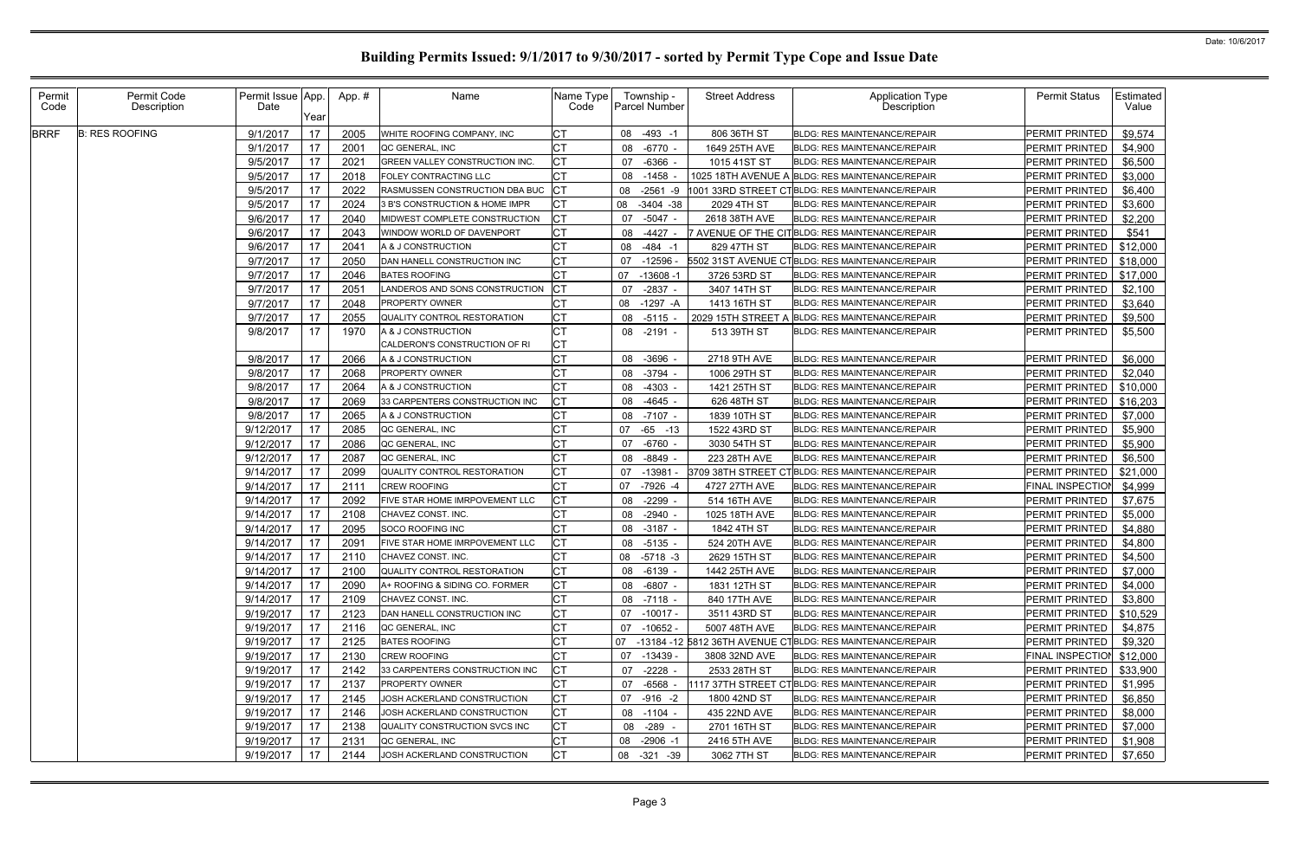| Permit<br>Code | Permit Code<br>Description | Permit Issue App.<br>Date | Year     | App.#        | Name                                                    | Name Type<br>Code      |    | Township -<br>Parcel Number | <b>Street Address</b>         | <b>Application Type</b><br>Description                                                               | <b>Permit Status</b>                        | Estimated<br>Value |
|----------------|----------------------------|---------------------------|----------|--------------|---------------------------------------------------------|------------------------|----|-----------------------------|-------------------------------|------------------------------------------------------------------------------------------------------|---------------------------------------------|--------------------|
| <b>BRRF</b>    | <b>B: RES ROOFING</b>      | 9/1/2017                  | 17       | 2005         | WHITE ROOFING COMPANY, INC                              | <b>CT</b>              |    | 08 -493 -1                  | 806 36TH ST                   | <b>BLDG: RES MAINTENANCE/REPAIR</b>                                                                  | <b>PERMIT PRINTED</b>                       | \$9,574            |
|                |                            | 9/1/2017                  | 17       | 2001         | QC GENERAL, INC                                         | Iст                    | 08 | -6770 -                     | 1649 25TH AVE                 | <b>BLDG: RES MAINTENANCE/REPAIR</b>                                                                  | PERMIT PRINTED                              | \$4,900            |
|                |                            | 9/5/2017                  | 17       | 2021         | GREEN VALLEY CONSTRUCTION INC                           | Iст                    | 07 | -6366                       | 1015 41ST ST                  | BLDG: RES MAINTENANCE/REPAIR                                                                         | PERMIT PRINTED                              | \$6,500            |
|                |                            | 9/5/2017                  | 17       | 2018         | <b>FOLEY CONTRACTING LLC</b>                            | СT                     | 08 | -1458                       |                               | 1025 18TH AVENUE A BLDG: RES MAINTENANCE/REPAIR                                                      | PERMIT PRINTED                              | \$3,000            |
|                |                            | 9/5/2017                  | 17       | 2022         | RASMUSSEN CONSTRUCTION DBA BUC                          | IСT                    | 08 | $-2561 - 9$                 |                               | 1001 33RD STREET CTBLDG: RES MAINTENANCE/REPAIR                                                      | PERMIT PRINTED                              | \$6,400            |
|                |                            | 9/5/2017                  | 17       | 2024         | 3 B'S CONSTRUCTION & HOME IMPR                          | IСТ                    |    | 08 -3404 -38                | 2029 4TH ST                   | <b>BLDG: RES MAINTENANCE/REPAIR</b>                                                                  | PERMIT PRINTED                              | \$3,600            |
|                |                            | 9/6/2017                  | 17       | 2040         | MIDWEST COMPLETE CONSTRUCTION                           | <b>CT</b>              | 07 | -5047 -                     | 2618 38TH AVE                 | BLDG: RES MAINTENANCE/REPAIR                                                                         | PERMIT PRINTED                              | \$2,200            |
|                |                            | 9/6/2017                  | 17       | 2043         | WINDOW WORLD OF DAVENPORT                               | <b>CT</b>              | 08 | $-4427 -$                   |                               | 7 AVENUE OF THE CITBLDG: RES MAINTENANCE/REPAIR                                                      | PERMIT PRINTED                              | \$541              |
|                |                            | 9/6/2017                  | 17       | 2041         | A & J CONSTRUCTION                                      | СT                     | 08 | -484 -1                     | 829 47TH ST                   | <b>BLDG: RES MAINTENANCE/REPAIR</b>                                                                  | PERMIT PRINTED                              | \$12,000           |
|                |                            | 9/7/2017                  | 17       | 2050         | DAN HANELL CONSTRUCTION INC                             | Iст                    | 07 | $-12596$                    |                               | 5502 31ST AVENUE CTBLLDG: RES MAINTENANCE/REPAIR                                                     | PERMIT PRINTED                              | \$18,000           |
|                |                            | 9/7/2017                  | 17       | 2046         | <b>BATES ROOFING</b>                                    | IСТ                    | 07 | -13608 -1                   | 3726 53RD ST                  | <b>BLDG: RES MAINTENANCE/REPAIR</b>                                                                  | PERMIT PRINTED                              | \$17,000           |
|                |                            | 9/7/2017                  | 17       | 2051         | ANDEROS AND SONS CONSTRUCTION                           | <b>ICT</b>             | 07 | $-2837 -$                   | 3407 14TH ST                  | BLDG: RES MAINTENANCE/REPAIR                                                                         | PERMIT PRINTED                              | \$2,100            |
|                |                            | 9/7/2017                  | 17       | 2048         | <b>PROPERTY OWNER</b>                                   | СT                     | 08 | -1297 -A                    | 1413 16TH ST                  | <b>BLDG: RES MAINTENANCE/REPAIR</b>                                                                  | PERMIT PRINTED                              | \$3,640            |
|                |                            | 9/7/2017                  | 17       | 2055         | QUALITY CONTROL RESTORATION                             | СT                     | 08 | $-5115$                     | 2029 15TH STREET<br>A         | <b>BLDG: RES MAINTENANCE/REPAIR</b>                                                                  | PERMIT PRINTED                              | \$9,500            |
|                |                            | 9/8/2017                  | 17       | 1970         | A & J CONSTRUCTION                                      | IСТ                    |    | 08 -2191 -                  | 513 39TH ST                   | <b>BLDG: RES MAINTENANCE/REPAIR</b>                                                                  | <b>PERMIT PRINTED</b>                       | \$5,500            |
|                |                            |                           |          |              | CALDERON'S CONSTRUCTION OF RI                           | СT                     |    |                             |                               |                                                                                                      |                                             |                    |
|                |                            | 9/8/2017                  | 17       | 2066         | A & J CONSTRUCTION                                      | Iст                    |    | 08 - 3696 -                 | 2718 9TH AVE                  | <b>BLDG: RES MAINTENANCE/REPAIR</b>                                                                  | PERMIT PRINTED                              | \$6,000            |
|                |                            | 9/8/2017                  | 17       | 2068         | <b>PROPERTY OWNER</b>                                   | СT                     | 08 | -3794                       | 1006 29TH ST                  | <b>BLDG: RES MAINTENANCE/REPAIR</b>                                                                  | PERMIT PRINTED                              | \$2,040            |
|                |                            | 9/8/2017                  | 17       | 2064         | A & J CONSTRUCTION                                      | СT                     | 08 | -4303                       | 1421 25TH ST                  | <b>BLDG: RES MAINTENANCE/REPAIR</b>                                                                  | PERMIT PRINTED                              | \$10,000           |
|                |                            | 9/8/2017                  | 17       | 2069         | 33 CARPENTERS CONSTRUCTION INC                          | IСТ                    | 08 | $-4645 -$                   | 626 48TH ST                   | <b>BLDG: RES MAINTENANCE/REPAIR</b>                                                                  | <b>PERMIT PRINTED</b>                       | \$16,203           |
|                |                            | 9/8/2017                  | 17       | 2065         | A & J CONSTRUCTION                                      | СT                     | 08 | $-7107 -$                   | 1839 10TH ST                  | <b>BLDG: RES MAINTENANCE/REPAIR</b>                                                                  | PERMIT PRINTED                              | \$7,000            |
|                |                            | 9/12/2017                 | 17       | 2085         | QC GENERAL, INC                                         | <b>CT</b>              | 07 | $-65 - 13$                  | 1522 43RD ST                  | BLDG: RES MAINTENANCE/REPAIR                                                                         | PERMIT PRINTED                              | \$5,900            |
|                |                            | 9/12/2017                 | 17       | 2086         | QC GENERAL, INC                                         | IСТ                    | 07 | -6760 -                     | 3030 54TH ST                  | <b>BLDG: RES MAINTENANCE/REPAIR</b>                                                                  | PERMIT PRINTED                              | \$5,900            |
|                |                            | 9/12/2017                 | 17       | 2087         | QC GENERAL, INC                                         | <b>CT</b>              | 08 | -8849                       | 223 28TH AVE                  | <b>BLDG: RES MAINTENANCE/REPAIR</b>                                                                  | PERMIT PRINTED                              | \$6,500            |
|                |                            | 9/14/2017                 | 17       | 2099         | QUALITY CONTROL RESTORATION                             | <b>CT</b>              | 07 | $-13981$                    |                               | 3709 38TH STREET CTBLDG: RES MAINTENANCE/REPAIR                                                      | PERMIT PRINTED                              | \$21,000           |
|                |                            | 9/14/2017                 | 17       | 2111         | <b>CREW ROOFING</b>                                     | Iст                    | 07 | -7926 -4                    | 4727 27TH AVE                 | <b>BLDG: RES MAINTENANCE/REPAIR</b>                                                                  | FINAL INSPECTION                            | \$4,999            |
|                |                            | 9/14/2017                 | 17       | 2092         | FIVE STAR HOME IMRPOVEMENT LLC                          | IСТ                    | 08 | $-2299$                     | 514 16TH AVE                  | <b>BLDG: RES MAINTENANCE/REPAIR</b>                                                                  | PERMIT PRINTED                              | \$7,675            |
|                |                            | 9/14/2017                 | 17       | 2108         | CHAVEZ CONST. INC.                                      | IСТ                    | 08 | -2940                       | 1025 18TH AVE                 | <b>BLDG: RES MAINTENANCE/REPAIR</b>                                                                  | PERMIT PRINTED                              | \$5,000            |
|                |                            | 9/14/2017                 | 17       | 2095         | SOCO ROOFING INC                                        | Iст                    | 08 | $-3187 -$                   | 1842 4TH ST                   | <b>BLDG: RES MAINTENANCE/REPAIR</b>                                                                  | <b>PERMIT PRINTED</b>                       | \$4,880            |
|                |                            | 9/14/2017                 | 17       | 2091         | FIVE STAR HOME IMRPOVEMENT LLC                          | СT<br>I∩т.             |    | 08 -5135 -                  | 524 20TH AVE                  | BLDG: RES MAINTENANCE/REPAIR                                                                         | PERMIT PRINTED                              | \$4,800            |
|                |                            | 9/14/2017 17              |          | 2110         | CHAVEZ CONST. INC.                                      | ◡                      |    | 08 -5718 -3                 | 2629 15TH ST                  | BLDG: RES MAINTENANCE/REPAIR                                                                         | PERMIT PRINTED   \$4,500                    |                    |
|                |                            | 9/14/2017                 | 17       | 2100         | QUALITY CONTROL RESTORATION                             | <b>CT</b>              |    | 08 -6139 -                  | 1442 25TH AVE                 | <b>BLDG: RES MAINTENANCE/REPAIR</b>                                                                  | PERMIT PRINTED                              | \$7,000            |
|                |                            | 9/14/2017                 | 17       | 2090         | A+ ROOFING & SIDING CO. FORMER                          | <b>CT</b>              | 08 | -6807 -                     | 1831 12TH ST                  | <b>BLDG: RES MAINTENANCE/REPAIR</b>                                                                  | PERMIT PRINTED                              | \$4,000            |
|                |                            | 9/14/2017                 | 17       | 2109         | CHAVEZ CONST. INC.                                      | <b>CT</b>              |    | 08 -7118 -                  | 840 17TH AVE                  | <b>BLDG: RES MAINTENANCE/REPAIR</b>                                                                  | PERMIT PRINTED                              | \$3,800            |
|                |                            | 9/19/2017<br>9/19/2017    | 17<br>17 | 2123         | DAN HANELL CONSTRUCTION INC                             | <b>CT</b><br><b>CT</b> |    | 07 -10017 -                 | 3511 43RD ST                  | <b>BLDG: RES MAINTENANCE/REPAIR</b>                                                                  | PERMIT PRINTED                              | \$10,529           |
|                |                            | 9/19/2017                 | 17       | 2116         | QC GENERAL, INC<br><b>BATES ROOFING</b>                 | <b>CT</b>              |    | 07 -10652 -                 | 5007 48TH AVE                 | <b>BLDG: RES MAINTENANCE/REPAIR</b>                                                                  | PERMIT PRINTED<br>PERMIT PRINTED            | \$4,875            |
|                |                            | 9/19/2017                 | 17       | 2125<br>2130 | CREW ROOFING                                            | <b>CT</b>              |    |                             |                               | 07 -13184 -12 5812 36TH AVENUE CTBLDG: RES MAINTENANCE/REPAIR<br><b>BLDG: RES MAINTENANCE/REPAIR</b> | FINAL INSPECTION \$12,000                   | \$9,320            |
|                |                            | 9/19/2017                 | 17       | 2142         |                                                         | СT                     | 07 | 07 -13439 -<br>-2228 -      | 3808 32ND AVE<br>2533 28TH ST | <b>BLDG: RES MAINTENANCE/REPAIR</b>                                                                  |                                             |                    |
|                |                            | 9/19/2017                 | 17       | 2137         | 33 CARPENTERS CONSTRUCTION INC<br><b>PROPERTY OWNER</b> | <b>CT</b>              | 07 | $-6568$                     |                               | 117 37TH STREET CTBLDG: RES MAINTENANCE/REPAIR                                                       | PERMIT PRINTED   \$33,900<br>PERMIT PRINTED | \$1,995            |
|                |                            | 9/19/2017                 | 17       | 2145         | JOSH ACKERLAND CONSTRUCTION                             | <b>CT</b>              |    | 07 -916 -2                  | 1800 42ND ST                  | <b>BLDG: RES MAINTENANCE/REPAIR</b>                                                                  | PERMIT PRINTED                              | \$6,850            |
|                |                            | 9/19/2017                 | 17       | 2146         | JOSH ACKERLAND CONSTRUCTION                             | <b>CT</b>              |    | 08 -1104 -                  | 435 22ND AVE                  | <b>BLDG: RES MAINTENANCE/REPAIR</b>                                                                  | PERMIT PRINTED                              | \$8,000            |
|                |                            | 9/19/2017                 | 17       | 2138         | QUALITY CONSTRUCTION SVCS INC                           | <b>CT</b>              | 08 | -289 -                      | 2701 16TH ST                  | <b>BLDG: RES MAINTENANCE/REPAIR</b>                                                                  | PERMIT PRINTED                              | \$7,000            |
|                |                            | 9/19/2017                 | 17       | 2131         | <b>QC GENERAL, INC</b>                                  | <b>CT</b>              |    | 08 -2906 -1                 | 2416 5TH AVE                  | <b>BLDG: RES MAINTENANCE/REPAIR</b>                                                                  | PERMIT PRINTED                              | \$1,908            |
|                |                            |                           |          |              |                                                         |                        |    |                             |                               |                                                                                                      |                                             | \$7,650            |
|                |                            | 9/19/2017                 | 17       | 2144         | JOSH ACKERLAND CONSTRUCTION                             | <b>CT</b>              |    | 08 -321 -39                 | 3062 7TH ST                   | BLDG: RES MAINTENANCE/REPAIR                                                                         | PERMIT PRINTED                              |                    |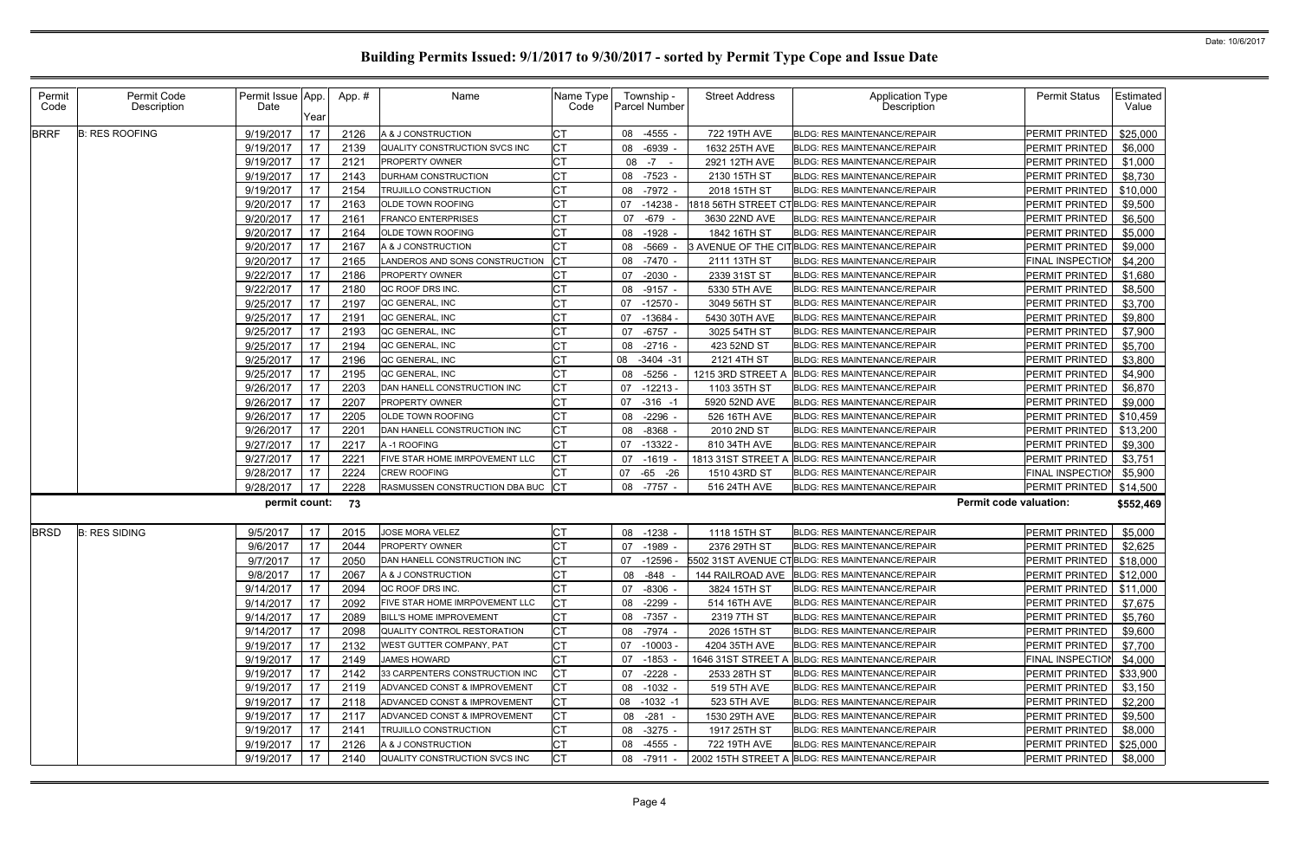| Permit<br>Code | Permit Code<br>Description | Permit Issue App.<br>Date | Year | App.# | Name                              | Name Type<br>Code | Township -<br>Parcel Number | <b>Street Address</b> | <b>Application Type</b><br>Description                      | <b>Permit Status</b>      | Estimated<br>Value |
|----------------|----------------------------|---------------------------|------|-------|-----------------------------------|-------------------|-----------------------------|-----------------------|-------------------------------------------------------------|---------------------------|--------------------|
| <b>BRRF</b>    | <b>B: RES ROOFING</b>      | 9/19/2017                 | 17   | 2126  | A & J CONSTRUCTION                | <b>CT</b>         | 08 -4555                    | 722 19TH AVE          | <b>BLDG: RES MAINTENANCE/REPAIR</b>                         | PERMIT PRINTED            | \$25,000           |
|                |                            | 9/19/2017                 | 17   | 2139  | QUALITY CONSTRUCTION SVCS INC     | <b>CT</b>         | $-6939$<br>08               | 1632 25TH AVE         | BLDG: RES MAINTENANCE/REPAIR                                | PERMIT PRINTED            | \$6,000            |
|                |                            | 9/19/2017                 | 17   | 2121  | PROPERTY OWNER                    | <b>CT</b>         | 08<br>$-7 - -$              | 2921 12TH AVE         | <b>BLDG: RES MAINTENANCE/REPAIR</b>                         | PERMIT PRINTED            | \$1,000            |
|                |                            | 9/19/2017                 | 17   | 2143  | DURHAM CONSTRUCTION               | <b>CT</b>         | $-7523 -$<br>08             | 2130 15TH ST          | <b>BLDG: RES MAINTENANCE/REPAIR</b>                         | PERMIT PRINTED            | \$8,730            |
|                |                            | 9/19/2017                 | 17   | 2154  | TRUJILLO CONSTRUCTION             | СT                | 08<br>-7972 -               | 2018 15TH ST          | <b>BLDG: RES MAINTENANCE/REPAIR</b>                         | PERMIT PRINTED            | \$10,000           |
|                |                            | 9/20/2017                 | 17   | 2163  | <b>OLDE TOWN ROOFING</b>          | <b>CT</b>         | $-14238$<br>07              |                       | 1818 56TH STREET CTBLDG: RES MAINTENANCE/REPAIR             | PERMIT PRINTED            | \$9,500            |
|                |                            | 9/20/2017                 | 17   | 2161  | <b>FRANCO ENTERPRISES</b>         | <b>CT</b>         | $-679$<br>07                | 3630 22ND AVE         | <b>BLDG: RES MAINTENANCE/REPAIR</b>                         | PERMIT PRINTED            | \$6,500            |
|                |                            | 9/20/2017                 | 17   | 2164  | OLDE TOWN ROOFING                 | <b>CT</b>         | $-1928$<br>08               | 1842 16TH ST          | BLDG: RES MAINTENANCE/REPAIR                                | PERMIT PRINTED            | \$5,000            |
|                |                            | 9/20/2017                 | 17   | 2167  | A & J CONSTRUCTION                | <b>CT</b>         | $-5669$<br>08               |                       | 3 AVENUE OF THE CIT BLDG: RES MAINTENANCE/REPAIR            | PERMIT PRINTED            | \$9,000            |
|                |                            | 9/20/2017                 | 17   | 2165  | LANDEROS AND SONS CONSTRUCTION    | IСT               | $-7470$<br>08               | 2111 13TH ST          | <b>BLDG: RES MAINTENANCE/REPAIR</b>                         | FINAL INSPECTION          | \$4,200            |
|                |                            | 9/22/2017                 | 17   | 2186  | <b>PROPERTY OWNER</b>             | <b>CT</b>         | $-2030$<br>07               | 2339 31ST ST          | <b>BLDG: RES MAINTENANCE/REPAIR</b>                         | PERMIT PRINTED            | \$1,680            |
|                |                            | 9/22/2017                 | 17   | 2180  | QC ROOF DRS INC.                  | <b>CT</b>         | $-9157 -$<br>08             | 5330 5TH AVE          | <b>BLDG: RES MAINTENANCE/REPAIR</b>                         | PERMIT PRINTED            | \$8,500            |
|                |                            | 9/25/2017                 | 17   | 2197  | QC GENERAL, INC                   | <b>CT</b>         | $-12570$<br>07              | 3049 56TH ST          | <b>BLDG: RES MAINTENANCE/REPAIR</b>                         | PERMIT PRINTED            | \$3,700            |
|                |                            | 9/25/2017                 | 17   | 2191  | QC GENERAL, INC                   | <b>CT</b>         | 07<br>-13684                | 5430 30TH AVE         | <b>BLDG: RES MAINTENANCE/REPAIR</b>                         | PERMIT PRINTED            | \$9,800            |
|                |                            | 9/25/2017                 | 17   | 2193  | QC GENERAL, INC                   | <b>CT</b>         | $-6757$<br>07               | 3025 54TH ST          | <b>BLDG: RES MAINTENANCE/REPAIR</b>                         | PERMIT PRINTED            | \$7,900            |
|                |                            | 9/25/2017                 | 17   | 2194  | QC GENERAL, INC                   | <b>CT</b>         | $-2716 -$<br>08             | 423 52ND ST           | BLDG: RES MAINTENANCE/REPAIR                                | PERMIT PRINTED            | \$5,700            |
|                |                            | 9/25/2017                 | 17   | 2196  | QC GENERAL, INC                   | СT                | 08 -3404 -31                | 2121 4TH ST           | <b>BLDG: RES MAINTENANCE/REPAIR</b>                         | PERMIT PRINTED            | \$3,800            |
|                |                            | 9/25/2017                 | 17   | 2195  | QC GENERAL, INC                   | <b>CT</b>         | $-5256$<br>08               | 1215 3RD STREET A     | <b>BLDG: RES MAINTENANCE/REPAIR</b>                         | PERMIT PRINTED            | \$4,900            |
|                |                            | 9/26/2017                 | 17   | 2203  | DAN HANELL CONSTRUCTION INC       | IСТ               | 07<br>-12213                | 1103 35TH ST          | BLDG: RES MAINTENANCE/REPAIR                                | PERMIT PRINTED            | \$6,870            |
|                |                            | 9/26/2017                 | 17   | 2207  | PROPERTY OWNER                    | <b>CT</b>         | $-316 - 1$<br>07            | 5920 52ND AVE         | BLDG: RES MAINTENANCE/REPAIR                                | PERMIT PRINTED            | \$9,000            |
|                |                            | 9/26/2017                 | 17   | 2205  | OLDE TOWN ROOFING                 | IСТ               | $-2296 -$<br>08             | 526 16TH AVE          | <b>BLDG: RES MAINTENANCE/REPAIR</b>                         | PERMIT PRINTED            | \$10,459           |
|                |                            | 9/26/2017                 | 17   | 2201  | DAN HANELL CONSTRUCTION INC       | <b>CT</b>         | $-8368$<br>08               | 2010 2ND ST           | <b>BLDG: RES MAINTENANCE/REPAIR</b>                         | PERMIT PRINTED            | \$13,200           |
|                |                            | 9/27/2017                 | 17   | 2217  | A-1 ROOFING                       | <b>CT</b>         | $-13322 -$<br>07            | 810 34TH AVE          | <b>BLDG: RES MAINTENANCE/REPAIR</b>                         | PERMIT PRINTED            | \$9,300            |
|                |                            | 9/27/2017                 | 17   | 2221  | FIVE STAR HOME IMRPOVEMENT LLC    | СT                | $-1619$<br>07               | 1813 31ST STREET A    | BLDG: RES MAINTENANCE/REPAIR                                | PERMIT PRINTED            | \$3,751            |
|                |                            | 9/28/2017                 | 17   | 2224  | <b>CREW ROOFING</b>               | <b>CT</b>         | 07 -65 -26                  | 1510 43RD ST          | BLDG: RES MAINTENANCE/REPAIR                                | FINAL INSPECTION          | \$5,900            |
|                |                            | 9/28/2017                 | 17   | 2228  | RASMUSSEN CONSTRUCTION DBA BUC CT |                   | 08 -7757 -                  | 516 24TH AVE          | BLDG: RES MAINTENANCE/REPAIR                                | PERMIT PRINTED            | \$14,500           |
|                |                            | permit count:             |      | 73    |                                   |                   |                             |                       | <b>Permit code valuation:</b>                               |                           | \$552,469          |
| <b>BRSD</b>    | <b>B: RES SIDING</b>       | 9/5/2017                  | 17   | 2015  | <b>JOSE MORA VELEZ</b>            | <b>CT</b>         | 08<br>$-1238 -$             | 1118 15TH ST          | <b>BLDG: RES MAINTENANCE/REPAIR</b>                         | PERMIT PRINTED            | \$5,000            |
|                |                            | 9/6/2017                  | 17   | 2044  | PROPERTY OWNER                    | <b>CT</b>         | $-1989 -$<br>07             | 2376 29TH ST          | BLDG: RES MAINTENANCE/REPAIR                                | PERMIT PRINTED            | \$2,625            |
|                |                            | $9/7/2017$ 17             |      | 2050  | DAN HANELL CONSTRUCTION INC       | <b>CT</b>         |                             |                       | 07 -12596 - 5502 31ST AVENUE CTBLDG: RES MAINTENANCE/REPAIR | PERMIT PRINTED   \$18,000 |                    |
|                |                            | 9/8/2017                  | 17   | 2067  | A & J CONSTRUCTION                | <b>CT</b>         | 08 -848 -                   |                       | 144 RAILROAD AVE   BLDG: RES MAINTENANCE/REPAIR             | PERMIT PRINTED   \$12,000 |                    |
|                |                            | 9/14/2017                 | 17   | 2094  | QC ROOF DRS INC.                  | СT                | -8306 -<br>07               | 3824 15TH ST          | BLDG: RES MAINTENANCE/REPAIR                                | PERMIT PRINTED   \$11,000 |                    |
|                |                            | 9/14/2017                 | 17   | 2092  | FIVE STAR HOME IMRPOVEMENT LLC    | <b>CT</b>         | $-2299 -$<br>08             | 514 16TH AVE          | <b>BLDG: RES MAINTENANCE/REPAIR</b>                         | PERMIT PRINTED            | \$7,675            |
|                |                            | 9/14/2017                 | - 17 | 2089  | <b>BILL'S HOME IMPROVEMENT</b>    | <b>CT</b>         | 08 -7357 -                  | 2319 7TH ST           | <b>BLDG: RES MAINTENANCE/REPAIR</b>                         | PERMIT PRINTED            | \$5,760            |
|                |                            | 9/14/2017                 | 17   | 2098  | QUALITY CONTROL RESTORATION       | <b>CT</b>         | -7974 -<br>08               | 2026 15TH ST          | <b>BLDG: RES MAINTENANCE/REPAIR</b>                         | PERMIT PRINTED            | \$9,600            |
|                |                            | 9/19/2017                 | 17   | 2132  | WEST GUTTER COMPANY, PAT          | <b>CT</b>         | 07 -10003 -                 | 4204 35TH AVE         | <b>BLDG: RES MAINTENANCE/REPAIR</b>                         | PERMIT PRINTED            | \$7,700            |
|                |                            | 9/19/2017                 | 17   | 2149  | <b>JAMES HOWARD</b>               | <b>CT</b>         | -1853<br>07                 | 1646 31ST STREET A    | BLDG: RES MAINTENANCE/REPAIR                                | FINAL INSPECTION          | \$4,000            |
|                |                            | 9/19/2017                 | 17   | 2142  | 33 CARPENTERS CONSTRUCTION INC    | СT                | $-2228 -$<br>07             | 2533 28TH ST          | <b>BLDG: RES MAINTENANCE/REPAIR</b>                         | PERMIT PRINTED            | \$33,900           |
|                |                            | 9/19/2017                 | 17   | 2119  | ADVANCED CONST & IMPROVEMENT      | СT                | 08 -1032 -                  | 519 5TH AVE           | BLDG: RES MAINTENANCE/REPAIR                                | PERMIT PRINTED            | \$3,150            |
|                |                            | 9/19/2017                 | 17   | 2118  | ADVANCED CONST & IMPROVEMENT      | <b>CT</b>         | 08 -1032 -1                 | 523 5TH AVE           | <b>BLDG: RES MAINTENANCE/REPAIR</b>                         | PERMIT PRINTED            | \$2,200            |
|                |                            | 9/19/2017                 | -17  | 2117  | ADVANCED CONST & IMPROVEMENT      | СT                | $-281 -$<br>08              | 1530 29TH AVE         | <b>BLDG: RES MAINTENANCE/REPAIR</b>                         | PERMIT PRINTED            | \$9,500            |
|                |                            | 9/19/2017                 | 17   | 2141  | TRUJILLO CONSTRUCTION             | <b>CT</b>         | $-3275 -$<br>08             | 1917 25TH ST          | BLDG: RES MAINTENANCE/REPAIR                                | PERMIT PRINTED            | \$8,000            |
|                |                            | 9/19/2017                 | - 17 | 2126  | A & J CONSTRUCTION                | IСТ               | -4555 -<br>08               | 722 19TH AVE          | <b>BLDG: RES MAINTENANCE/REPAIR</b>                         | PERMIT PRINTED            | \$25,000           |
|                |                            | 9/19/2017                 | 17   | 2140  | QUALITY CONSTRUCTION SVCS INC     | <b>CT</b>         | 08 -7911                    |                       | 2002 15TH STREET A BLDG: RES MAINTENANCE/REPAIR             | PERMIT PRINTED            | \$8,000            |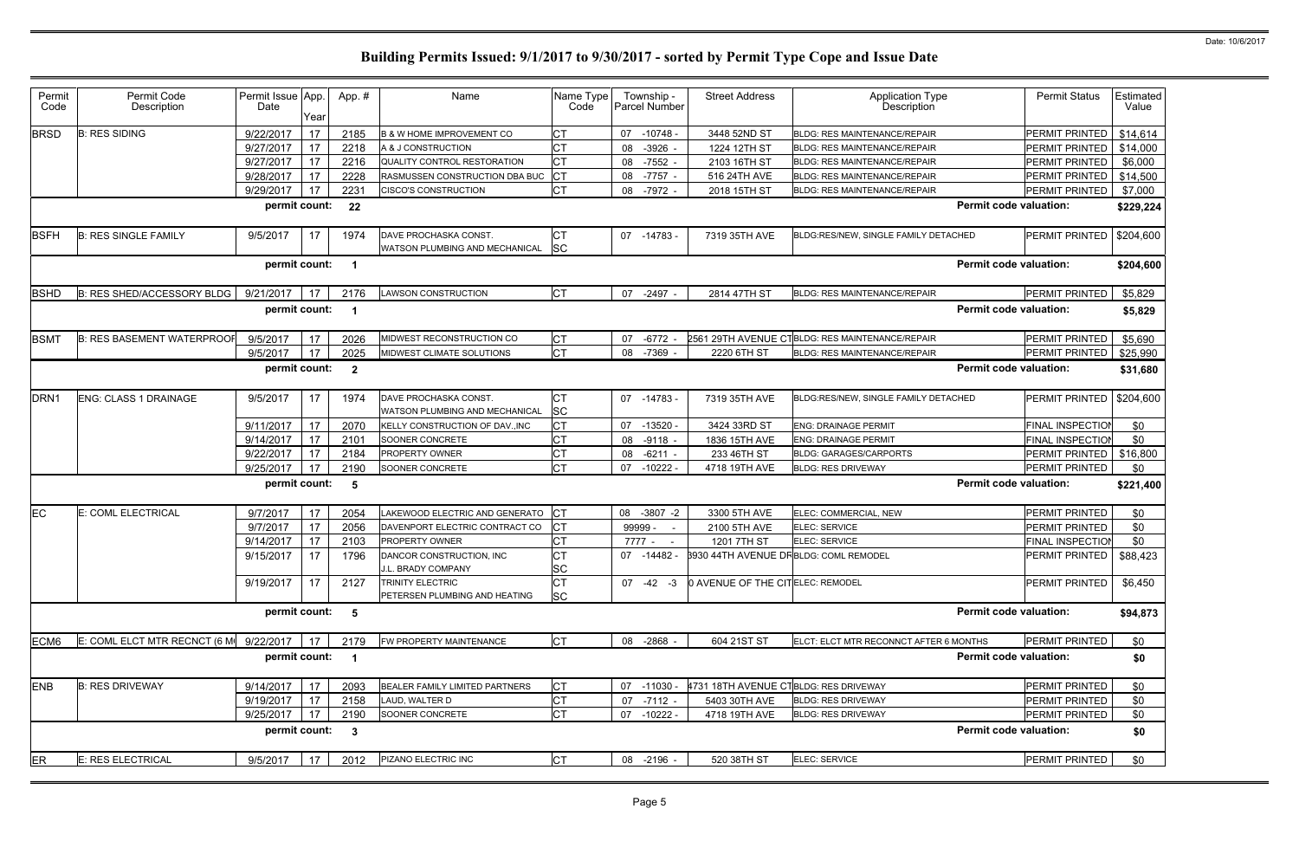| Permit<br>Code   | Permit Code<br>Description                       | Permit Issue App.<br>Date | Year | App.#          | Name                                                     | Name Type<br>Code      | Township -<br>Parcel Number | <b>Street Address</b>                        | <b>Application Type</b><br>Description          | <b>Permit Status</b>    | Estimated<br>Value |
|------------------|--------------------------------------------------|---------------------------|------|----------------|----------------------------------------------------------|------------------------|-----------------------------|----------------------------------------------|-------------------------------------------------|-------------------------|--------------------|
| <b>BRSD</b>      | <b>B: RES SIDING</b>                             | 9/22/2017                 | 17   | 2185           | <b>B &amp; W HOME IMPROVEMENT CO</b>                     | <b>CT</b>              | 07 -10748 -                 | 3448 52ND ST                                 | <b>BLDG: RES MAINTENANCE/REPAIR</b>             | PERMIT PRINTED          | \$14,614           |
|                  |                                                  | 9/27/2017                 | 17   | 2218           | A & J CONSTRUCTION                                       | <b>CT</b>              | $-3926$<br>08               | 1224 12TH ST                                 | <b>BLDG: RES MAINTENANCE/REPAIR</b>             | PERMIT PRINTED          | \$14,000           |
|                  |                                                  | 9/27/2017                 | 17   | 2216           | QUALITY CONTROL RESTORATION                              | <b>CT</b>              | $-7552 -$<br>08             | 2103 16TH ST                                 | BLDG: RES MAINTENANCE/REPAIR                    | PERMIT PRINTED          | \$6,000            |
|                  |                                                  | 9/28/2017                 | 17   | 2228           | RASMUSSEN CONSTRUCTION DBA BUC                           | <b>CT</b>              | -7757 -<br>08               | 516 24TH AVE                                 | <b>BLDG: RES MAINTENANCE/REPAIR</b>             | PERMIT PRINTED          | \$14,500           |
|                  |                                                  | 9/29/2017                 | 17   | 2231           | <b>CISCO'S CONSTRUCTION</b>                              | <b>CT</b>              | 08<br>-7972 -               | 2018 15TH ST                                 | BLDG: RES MAINTENANCE/REPAIR                    | PERMIT PRINTED          | \$7,000            |
|                  |                                                  | permit count:             |      | 22             |                                                          |                        |                             |                                              | <b>Permit code valuation:</b>                   |                         | \$229,224          |
| <b>BSFH</b>      | <b>B: RES SINGLE FAMILY</b>                      | 9/5/2017                  | 17   | 1974           | DAVE PROCHASKA CONST.<br>WATSON PLUMBING AND MECHANICAL  | CТ<br><b>SC</b>        | 07 -14783 -                 | 7319 35TH AVE                                | BLDG:RES/NEW, SINGLE FAMILY DETACHED            | <b>PERMIT PRINTED</b>   | \$204,600          |
|                  |                                                  | permit count:             |      | -1             |                                                          |                        |                             |                                              | <b>Permit code valuation:</b>                   |                         | \$204,600          |
| <b>BSHD</b>      | B: RES SHED/ACCESSORY BLDG                       | 9/21/2017                 | 17   | 2176           | <b>LAWSON CONSTRUCTION</b>                               | IСТ                    | 07<br>$-2497 -$             | 2814 47TH ST                                 | <b>BLDG: RES MAINTENANCE/REPAIR</b>             | <b>PERMIT PRINTED</b>   | \$5,829            |
|                  |                                                  | permit count:             |      | -1             |                                                          |                        |                             |                                              | <b>Permit code valuation:</b>                   |                         | \$5,829            |
| <b>BSMT</b>      | <b>B: RES BASEMENT WATERPROOF</b>                | 9/5/2017                  | 17   | 2026           | MIDWEST RECONSTRUCTION CO                                | <b>CT</b>              | $-6772$<br>07               |                                              | 2561 29TH AVENUE CTBLDG: RES MAINTENANCE/REPAIR | <b>PERMIT PRINTED</b>   | \$5,690            |
|                  |                                                  | 9/5/2017                  | 17   | 2025           | MIDWEST CLIMATE SOLUTIONS                                | <b>CT</b>              | 08<br>$-7369$               | 2220 6TH ST                                  | BLDG: RES MAINTENANCE/REPAIR                    | PERMIT PRINTED          | \$25,990           |
|                  |                                                  | permit count:             |      | $\overline{2}$ |                                                          |                        |                             |                                              | <b>Permit code valuation:</b>                   |                         | \$31,680           |
| DRN <sub>1</sub> | <b>ENG: CLASS 1 DRAINAGE</b>                     | 9/5/2017                  | 17   | 1974           | DAVE PROCHASKA CONST.<br>WATSON PLUMBING AND MECHANICAL  | <b>CT</b><br>SC        | 07 -14783 -                 | 7319 35TH AVE                                | BLDG:RES/NEW, SINGLE FAMILY DETACHED            | PERMIT PRINTED          | \$204,600          |
|                  |                                                  | 9/11/2017                 | 17   | 2070           | KELLY CONSTRUCTION OF DAV., INC                          | <b>CT</b>              | $-13520 -$<br>07            | 3424 33RD ST                                 | <b>ENG: DRAINAGE PERMIT</b>                     | <b>FINAL INSPECTIO</b>  | \$0                |
|                  |                                                  | 9/14/2017                 | 17   | 2101           | SOONER CONCRETE                                          | <b>CT</b>              | 08<br>$-9118$               | 1836 15TH AVE                                | <b>ENG: DRAINAGE PERMIT</b>                     | <b>FINAL INSPECTION</b> | \$0                |
|                  |                                                  | 9/22/2017                 | 17   | 2184           | PROPERTY OWNER                                           | <b>CT</b>              | $-6211 -$<br>08             | 233 46TH ST                                  | <b>BLDG: GARAGES/CARPORTS</b>                   | PERMIT PRINTED          | \$16,800           |
|                  |                                                  | 9/25/2017                 | 17   | 2190           | SOONER CONCRETE                                          | Iст                    | 07<br>$-10222$              | 4718 19TH AVE                                | <b>BLDG: RES DRIVEWAY</b>                       | PERMIT PRINTED          | \$0                |
|                  |                                                  | permit count:             |      | 5              |                                                          |                        |                             |                                              | <b>Permit code valuation:</b>                   |                         | \$221,400          |
| EC               | E: COML ELECTRICAL                               | 9/7/2017                  | 17   | 2054           | LAKEWOOD ELECTRIC AND GENERATO                           | <b>CT</b>              | 08 -3807 -2                 | 3300 5TH AVE                                 | ELEC: COMMERCIAL, NEW                           | <b>PERMIT PRINTED</b>   | \$0                |
|                  |                                                  | 9/7/2017                  | 17   | 2056           | DAVENPORT ELECTRIC CONTRACT CO                           | <b>CT</b>              | 99999 -<br>$\sim$           | 2100 5TH AVE                                 | ELEC: SERVICE                                   | PERMIT PRINTED          | \$0                |
|                  |                                                  | 9/14/2017                 | 17   | 2103           | PROPERTY OWNER                                           | <b>CT</b>              | 7777 -<br>$\sim$ $-$        | 1201 7TH ST                                  | ELEC: SERVICE                                   | <b>FINAL INSPECTION</b> | \$0                |
|                  |                                                  | 9/15/2017                 | 17   | 1796           | DANCOR CONSTRUCTION, INC.<br>J.L. BRADY COMPANY          | Iст<br><b>SC</b>       | 07 -14482 -                 | <b>8930 44TH AVENUE DRBLDG: COML REMODEL</b> |                                                 | PERMIT PRINTED          | \$88,423           |
|                  |                                                  | 9/19/2017                 | 17   | 2127           | <b>TRINITY ELECTRIC</b><br>PETERSEN PLUMBING AND HEATING | <b>CT</b><br><b>SC</b> | $07 -42 -3$                 | 0 AVENUE OF THE CITELEC: REMODEL             |                                                 | PERMIT PRINTED          | \$6,450            |
|                  |                                                  | permit count:             |      | 5              |                                                          |                        |                             |                                              | <b>Permit code valuation:</b>                   |                         | \$94,873           |
| ECM6             | E: COML ELCT MTR RECNCT (6 M $\sqrt{}$ 9/22/2017 |                           | 17   | 2179           | FW PROPERTY MAINTENANCE                                  | <b>CT</b>              | 08 -2868 -                  | 604 21ST ST                                  | ELCT: ELCT MTR RECONNCT AFTER 6 MONTHS          | PERMIT PRINTED          | \$0                |
|                  |                                                  | permit count:             |      | $\overline{1}$ |                                                          |                        |                             |                                              | <b>Permit code valuation:</b>                   |                         | \$0                |
| <b>ENB</b>       | <b>B: RES DRIVEWAY</b>                           | 9/14/2017                 | 17   | 2093           | BEALER FAMILY LIMITED PARTNERS                           | <b>CT</b>              | 07 -11030                   | 4731 18TH AVENUE CTBLDG: RES DRIVEWAY        |                                                 | PERMIT PRINTED          | \$0                |
|                  |                                                  | 9/19/2017                 | 17   | 2158           | LAUD, WALTER D                                           | Iст                    | $-7112 -$<br>07             | 5403 30TH AVE                                | <b>BLDG: RES DRIVEWAY</b>                       | PERMIT PRINTED          | \$0                |
|                  |                                                  | 9/25/2017                 | 17   | 2190           | SOONER CONCRETE                                          | Iст                    | 07 -10222 -                 | 4718 19TH AVE                                | <b>BLDG: RES DRIVEWAY</b>                       | PERMIT PRINTED          | \$0                |
|                  |                                                  | permit count:             |      | $\mathbf{3}$   |                                                          |                        |                             |                                              | <b>Permit code valuation:</b>                   |                         | \$0                |
| ER               | E: RES ELECTRICAL                                | 9/5/2017                  | 17   | 2012           | PIZANO ELECTRIC INC                                      | Iст                    | 08 -2196 -                  | 520 38TH ST                                  | ELEC: SERVICE                                   | PERMIT PRINTED          | \$0                |
|                  |                                                  |                           |      |                |                                                          |                        |                             |                                              |                                                 |                         |                    |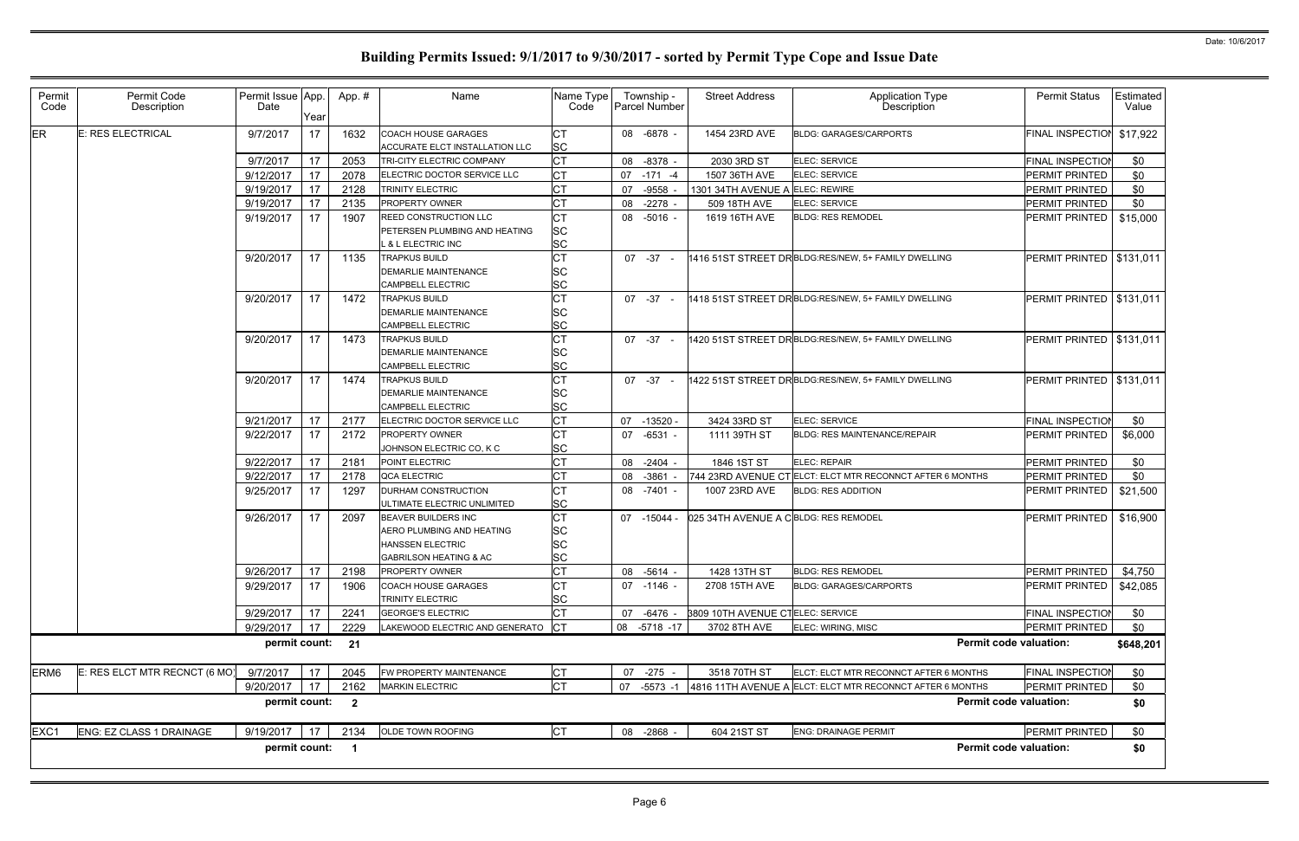| Permit<br>Code   | Permit Code<br>Description    | Permit Issue App.<br>Date | Year | App.#                   | Name                                                         | Name Type<br>Code      | Township -<br><b>Parcel Number</b> | <b>Street Address</b>                   | <b>Application Type</b><br>Description                    | <b>Permit Status</b>       | Estimated<br>Value |
|------------------|-------------------------------|---------------------------|------|-------------------------|--------------------------------------------------------------|------------------------|------------------------------------|-----------------------------------------|-----------------------------------------------------------|----------------------------|--------------------|
| ER               | E: RES ELECTRICAL             | 9/7/2017                  | 17   | 1632                    | <b>COACH HOUSE GARAGES</b><br>ACCURATE ELCT INSTALLATION LLC | <b>CT</b><br><b>SC</b> | 08 -6878 -                         | 1454 23RD AVE                           | <b>BLDG: GARAGES/CARPORTS</b>                             | FINAL INSPECTION           | \$17,922           |
|                  |                               | 9/7/2017                  | 17   | 2053                    | TRI-CITY ELECTRIC COMPANY                                    | <b>CT</b>              | 08 -8378 -                         | 2030 3RD ST                             | ELEC: SERVICE                                             | <b>FINAL INSPECTION</b>    | \$0                |
|                  |                               | 9/12/2017                 | 17   | 2078                    | ELECTRIC DOCTOR SERVICE LLC                                  | <b>CT</b>              | 07 -171 -4                         | 1507 36TH AVE                           | ELEC: SERVICE                                             | PERMIT PRINTED             | \$0                |
|                  |                               | 9/19/2017                 | 17   | 2128                    | <b>TRINITY ELECTRIC</b>                                      | <b>CT</b>              | -9558<br>07                        | 1301 34TH AVENUE A ELEC: REWIRE         |                                                           | PERMIT PRINTED             | \$0                |
|                  |                               | 9/19/2017                 | 17   | 2135                    | <b>PROPERTY OWNER</b>                                        | <b>CT</b>              | $-2278$ -<br>08                    | 509 18TH AVE                            | ELEC: SERVICE                                             | PERMIT PRINTED             | \$0                |
|                  |                               | 9/19/2017                 | 17   | 1907                    | <b>REED CONSTRUCTION LLC</b>                                 | CT                     | 08 -5016 -                         | 1619 16TH AVE                           | <b>BLDG: RES REMODEL</b>                                  | PERMIT PRINTED             | \$15,000           |
|                  |                               |                           |      |                         | PETERSEN PLUMBING AND HEATING                                | SC                     |                                    |                                         |                                                           |                            |                    |
|                  |                               |                           |      |                         | . & L ELECTRIC INC                                           | <b>SC</b>              |                                    |                                         |                                                           |                            |                    |
|                  |                               | 9/20/2017                 | 17   | 1135                    | <b>TRAPKUS BUILD</b>                                         | <b>CT</b>              | $07 - 37 -$                        |                                         | 1416 51ST STREET DRBLDG:RES/NEW, 5+ FAMILY DWELLING       | PERMIT PRINTED             | \$131,011          |
|                  |                               |                           |      |                         | <b>DEMARLIE MAINTENANCE</b>                                  | SC                     |                                    |                                         |                                                           |                            |                    |
|                  |                               |                           |      |                         | <b>CAMPBELL ELECTRIC</b>                                     | SC                     |                                    |                                         |                                                           |                            |                    |
|                  |                               | 9/20/2017                 | 17   | 1472                    | <b>TRAPKUS BUILD</b>                                         | СT                     | $07 - 37$                          |                                         | 1418 51ST STREET DRBLDG:RES/NEW, 5+ FAMILY DWELLING       | PERMIT PRINTED   \$131,011 |                    |
|                  |                               |                           |      |                         | DEMARLIE MAINTENANCE                                         | SC                     |                                    |                                         |                                                           |                            |                    |
|                  |                               |                           |      |                         | <b>CAMPBELL ELECTRIC</b>                                     | SC                     |                                    |                                         |                                                           |                            |                    |
|                  |                               | 9/20/2017                 | 17   | 1473                    | <b>TRAPKUS BUILD</b>                                         | <b>CT</b>              | 07 -37                             |                                         | 1420 51ST STREET DRBLDG:RES/NEW, 5+ FAMILY DWELLING       | PERMIT PRINTED   \$131,011 |                    |
|                  |                               |                           |      |                         | <b>DEMARLIE MAINTENANCE</b>                                  | SC                     |                                    |                                         |                                                           |                            |                    |
|                  |                               |                           |      |                         | <b>CAMPBELL ELECTRIC</b>                                     | SC                     |                                    |                                         |                                                           |                            |                    |
|                  |                               | 9/20/2017                 | 17   | 1474                    | <b>TRAPKUS BUILD</b>                                         | <b>CT</b>              | 07 -37                             |                                         | 1422 51ST STREET DRBLDG:RES/NEW, 5+ FAMILY DWELLING       | PERMIT PRINTED   \$131,011 |                    |
|                  |                               |                           |      |                         | DEMARLIE MAINTENANCE                                         | SC                     |                                    |                                         |                                                           |                            |                    |
|                  |                               |                           |      |                         | <b>CAMPBELL ELECTRIC</b>                                     | SC                     |                                    |                                         |                                                           |                            |                    |
|                  |                               | 9/21/2017                 | 17   | 2177                    | ELECTRIC DOCTOR SERVICE LLC                                  | <b>CT</b>              | -13520 -<br>07                     | 3424 33RD ST                            | ELEC: SERVICE                                             | <b>FINAL INSPECTION</b>    | \$0                |
|                  |                               | 9/22/2017                 | 17   | 2172                    | <b>PROPERTY OWNER</b>                                        | <b>CT</b>              | 07 -6531 -                         | 1111 39TH ST                            | <b>BLDG: RES MAINTENANCE/REPAIR</b>                       | PERMIT PRINTED             | \$6,000            |
|                  |                               |                           |      |                         | JOHNSON ELECTRIC CO, K C                                     | SC                     |                                    |                                         |                                                           |                            |                    |
|                  |                               | 9/22/2017                 | 17   | 2181                    | POINT ELECTRIC                                               | <b>CT</b>              | $-2404 -$<br>08                    | 1846 1ST ST                             | ELEC: REPAIR                                              | PERMIT PRINTED             | \$0                |
|                  |                               | 9/22/2017                 | 17   | 2178                    | QCA ELECTRIC                                                 | <b>CT</b>              | $-3861$<br>08                      |                                         | 744 23RD AVENUE CT ELCT: ELCT MTR RECONNCT AFTER 6 MONTHS | <b>PERMIT PRINTED</b>      | \$0                |
|                  |                               | 9/25/2017                 | 17   | 1297                    | <b>DURHAM CONSTRUCTION</b>                                   | <b>CT</b>              | 08 -7401 -                         | 1007 23RD AVE                           | <b>BLDG: RES ADDITION</b>                                 | PERMIT PRINTED             | \$21,500           |
|                  |                               |                           |      |                         | ULTIMATE ELECTRIC UNLIMITED                                  | SC                     |                                    |                                         |                                                           |                            |                    |
|                  |                               | 9/26/2017                 | 17   | 2097                    | <b>BEAVER BUILDERS INC</b>                                   | <b>CT</b>              | 07 -15044 -                        | 025 34TH AVENUE A CBLDG: RES REMODEL    |                                                           | <b>PERMIT PRINTED</b>      | \$16,900           |
|                  |                               |                           |      |                         | AERO PLUMBING AND HEATING                                    | SC                     |                                    |                                         |                                                           |                            |                    |
|                  |                               |                           |      |                         | <b>HANSSEN ELECTRIC</b>                                      | SC                     |                                    |                                         |                                                           |                            |                    |
|                  |                               |                           |      |                         | <b>GABRILSON HEATING &amp; AC</b>                            | $\sim$<br>◡◡           |                                    |                                         |                                                           |                            |                    |
|                  |                               | 9/26/2017                 | 17   | 2198                    | <b>PROPERTY OWNER</b>                                        | <b>CT</b>              | 08 -5614 -                         | 1428 13TH ST                            | <b>BLDG: RES REMODEL</b>                                  | PERMIT PRINTED             | \$4,750            |
|                  |                               | 9/29/2017                 | 17   | 1906                    | <b>COACH HOUSE GARAGES</b>                                   | <b>CT</b>              | 07 -1146 -                         | 2708 15TH AVE                           | <b>BLDG: GARAGES/CARPORTS</b>                             | PERMIT PRINTED             | \$42,085           |
|                  |                               |                           |      |                         | TRINITY ELECTRIC                                             | SC                     |                                    |                                         |                                                           |                            |                    |
|                  |                               | 9/29/2017                 | 17   | 2241                    | <b>GEORGE'S ELECTRIC</b>                                     | <b>CT</b>              | -6476 -<br>07                      | <b>3809 10TH AVENUE CTELEC: SERVICE</b> |                                                           | <b>FINAL INSPECTION</b>    | \$0                |
|                  |                               | 9/29/2017                 | 17   | 2229                    | LAKEWOOD ELECTRIC AND GENERATO                               | CT                     | 08 -5718 -17                       | 3702 8TH AVE                            | ELEC: WIRING, MISC                                        | PERMIT PRINTED             | \$0                |
|                  |                               | permit count:             |      | 21                      |                                                              |                        |                                    |                                         | <b>Permit code valuation:</b>                             |                            | \$648,201          |
| ERM <sub>6</sub> | E: RES ELCT MTR RECNCT (6 MO) | 9/7/2017                  | 17   | 2045                    | FW PROPERTY MAINTENANCE                                      | <b>CT</b>              | 07 -275 -                          | 3518 70TH ST                            | ELCT: ELCT MTR RECONNCT AFTER 6 MONTHS                    | FINAL INSPECTION           | \$0                |
|                  |                               | 9/20/2017                 | 17   | 2162                    | <b>MARKIN ELECTRIC</b>                                       | <b>CT</b>              | 07 -5573 -1                        |                                         | 4816 11TH AVENUE A ELCT: ELCT MTR RECONNCT AFTER 6 MONTHS | PERMIT PRINTED             | \$0                |
|                  |                               | permit count:             |      | $\overline{\mathbf{2}}$ |                                                              |                        |                                    |                                         | <b>Permit code valuation:</b>                             |                            | \$0                |
| EXC1             | ENG: EZ CLASS 1 DRAINAGE      | 9/19/2017                 | 17   | 2134                    | OLDE TOWN ROOFING                                            | <b>CT</b>              | 08 -2868 -                         | 604 21ST ST                             | <b>ENG: DRAINAGE PERMIT</b>                               | PERMIT PRINTED             | \$0                |
|                  |                               | permit count:             |      | $\overline{1}$          |                                                              |                        |                                    |                                         | <b>Permit code valuation:</b>                             |                            | \$0                |
|                  |                               |                           |      |                         |                                                              |                        |                                    |                                         |                                                           |                            |                    |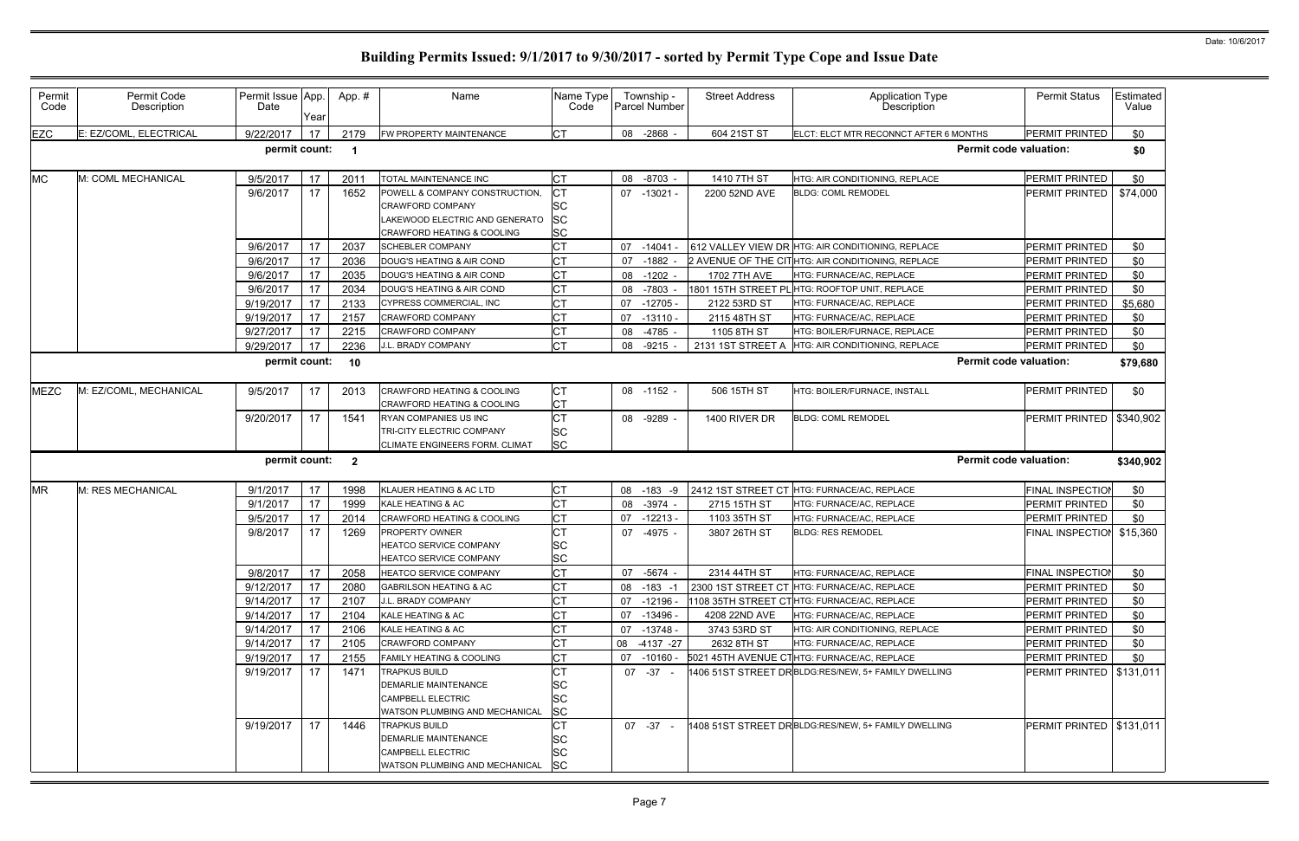| Permit<br>Code | Permit Code<br>Description | Permit Issue App.<br>Date | Year | App.#        | Name                                                                                   | Name Type<br>Code            |    | Township -<br>Parcel Number | <b>Street Address</b> | <b>Application Type</b><br><b>Description</b>       | <b>Permit Status</b>       | Estimated<br>Value |
|----------------|----------------------------|---------------------------|------|--------------|----------------------------------------------------------------------------------------|------------------------------|----|-----------------------------|-----------------------|-----------------------------------------------------|----------------------------|--------------------|
| <b>EZC</b>     | E: EZ/COML, ELECTRICAL     | 9/22/2017                 | 17   | 2179         | FW PROPERTY MAINTENANCE                                                                | <b>ICT</b>                   |    | 08 -2868 -                  | 604 21ST ST           | ELCT: ELCT MTR RECONNCT AFTER 6 MONTHS              | <b>PERMIT PRINTED</b>      | \$0                |
|                |                            | permit count:             |      | -1           |                                                                                        |                              |    |                             |                       | <b>Permit code valuation:</b>                       |                            | \$0                |
| <b>MC</b>      | M: COML MECHANICAL         | 9/5/2017                  | 17   | 2011         | <b>TOTAL MAINTENANCE INC</b>                                                           | <b>CT</b>                    |    | 08 -8703 -                  | 1410 7TH ST           | HTG: AIR CONDITIONING, REPLACE                      | PERMIT PRINTED             | \$0                |
|                |                            | 9/6/2017                  | 17   | 1652         | POWELL & COMPANY CONSTRUCTION,                                                         |                              |    | 07 -13021 -                 | 2200 52ND AVE         | <b>BLDG: COML REMODEL</b>                           | PERMIT PRINTED             | \$74,000           |
|                |                            |                           |      |              | <b>CRAWFORD COMPANY</b><br>AKEWOOD ELECTRIC AND GENERATO<br>CRAWFORD HEATING & COOLING | <b>SC</b><br><b>SC</b><br>SC |    |                             |                       |                                                     |                            |                    |
|                |                            | 9/6/2017                  | 17   | 2037         | <b>SCHEBLER COMPANY</b>                                                                | <b>CT</b>                    |    | 07 -14041                   |                       | 612 VALLEY VIEW DR HTG: AIR CONDITIONING, REPLACE   | PERMIT PRINTED             | \$0                |
|                |                            | 9/6/2017                  | 17   | 2036         | DOUG'S HEATING & AIR COND                                                              | <b>CT</b>                    | 07 | $-1882$                     |                       | 2 AVENUE OF THE CITHTG: AIR CONDITIONING, REPLACE   | PERMIT PRINTED             | \$0                |
|                |                            | 9/6/2017                  | 17   | 2035         | DOUG'S HEATING & AIR COND                                                              | <b>CT</b>                    | 08 | -1202                       | 1702 7TH AVE          | HTG: FURNACE/AC, REPLACE                            | PERMIT PRINTED             | \$0                |
|                |                            | 9/6/2017                  | 17   | 2034         | DOUG'S HEATING & AIR COND                                                              | <b>CT</b>                    | 08 | $-7803$                     |                       | 1801 15TH STREET PL HTG: ROOFTOP UNIT, REPLACE      | PERMIT PRINTED             | \$0                |
|                |                            | 9/19/2017                 | 17   | 2133         | CYPRESS COMMERCIAL, INC                                                                | <b>CT</b>                    | 07 | $-12705$                    | 2122 53RD ST          | HTG: FURNACE/AC, REPLACE                            | PERMIT PRINTED             | \$5,680            |
|                |                            | 9/19/2017                 | 17   | 2157         | CRAWFORD COMPANY                                                                       | <b>CT</b>                    | 07 | $-13110 -$                  | 2115 48TH ST          | HTG: FURNACE/AC, REPLACE                            | PERMIT PRINTED             | \$0                |
|                |                            | 9/27/2017                 | 17   | 2215         | <b>CRAWFORD COMPANY</b>                                                                | СT                           | 08 | -4785 -                     | 1105 8TH ST           | HTG: BOILER/FURNACE, REPLACE                        | PERMIT PRINTED             | \$0                |
|                |                            | 9/29/2017                 | 17   | 2236         | J.L. BRADY COMPANY                                                                     | <b>CT</b>                    | 08 | $-9215$                     | 2131 1ST STREET A     | HTG: AIR CONDITIONING, REPLACE                      | PERMIT PRINTED             | \$0                |
|                |                            | permit count:             |      | 10           |                                                                                        |                              |    |                             |                       | <b>Permit code valuation:</b>                       |                            | \$79,680           |
| <b>MEZC</b>    | M: EZ/COML, MECHANICAL     | 9/5/2017                  | 17   | 2013         | <b>CRAWFORD HEATING &amp; COOLING</b><br>CRAWFORD HEATING & COOLING                    | СT<br><b>CT</b>              |    | 08 -1152 -                  | 506 15TH ST           | HTG: BOILER/FURNACE, INSTALL                        | PERMIT PRINTED             | \$0                |
|                |                            | 9/20/2017                 | 17   | 1541         | <b>RYAN COMPANIES US INC</b>                                                           | <b>CT</b>                    | 08 | -9289 -                     | 1400 RIVER DR         | <b>BLDG: COML REMODEL</b>                           | PERMIT PRINTED             | \$340,902          |
|                |                            |                           |      |              | <b>TRI-CITY ELECTRIC COMPANY</b>                                                       | <b>SC</b>                    |    |                             |                       |                                                     |                            |                    |
|                |                            |                           |      |              | CLIMATE ENGINEERS FORM. CLIMAT                                                         | <b>SC</b>                    |    |                             |                       |                                                     |                            |                    |
|                |                            | permit count:             |      | $\mathbf{2}$ |                                                                                        |                              |    |                             |                       | <b>Permit code valuation:</b>                       |                            | \$340,902          |
| <b>MR</b>      | M: RES MECHANICAL          | 9/1/2017                  | 17   | 1998         | KLAUER HEATING & AC LTD                                                                | <b>CT</b>                    |    | 08 -183 -9                  |                       | 2412 1ST STREET CT HTG: FURNACE/AC, REPLACE         | <b>FINAL INSPECTIOI</b>    | \$0                |
|                |                            | 9/1/2017                  | 17   | 1999         | KALE HEATING & AC                                                                      | <b>CT</b>                    | 08 | $-3974 -$                   | 2715 15TH ST          | HTG: FURNACE/AC, REPLACE                            | PERMIT PRINTED             | \$0                |
|                |                            | 9/5/2017                  | 17   | 2014         | <b>CRAWFORD HEATING &amp; COOLING</b>                                                  | СT                           | 07 | $-12213-$                   | 1103 35TH ST          | HTG: FURNACE/AC, REPLACE                            | PERMIT PRINTED             | \$0                |
|                |                            | 9/8/2017                  | 17   | 1269         | <b>PROPERTY OWNER</b>                                                                  | <b>CT</b>                    | 07 | -4975 -                     | 3807 26TH ST          | <b>BLDG: RES REMODEL</b>                            | <b>FINAL INSPECTION</b>    | \$15,360           |
|                |                            |                           |      |              | HEATCO SERVICE COMPANY                                                                 | SC                           |    |                             |                       |                                                     |                            |                    |
|                |                            |                           |      |              | <b>HEATCO SERVICE COMPANY</b>                                                          | lsc.<br>◡◡                   |    |                             |                       |                                                     |                            |                    |
|                |                            | 9/8/2017                  | 17   | 2058         | <b>HEATCO SERVICE COMPANY</b>                                                          | <b>CT</b>                    |    | 07 -5674 -                  | 2314 44TH ST          | HTG: FURNACE/AC, REPLACE                            | <b>FINAL INSPECTION</b>    | \$0                |
|                |                            | 9/12/2017                 | 17   | 2080         | <b>GABRILSON HEATING &amp; AC</b>                                                      | СT                           |    | 08 -183 -1                  |                       | 2300 1ST STREET CT HTG: FURNACE/AC, REPLACE         | PERMIT PRINTED             | \$0                |
|                |                            | 9/14/2017                 | 17   | 2107         | <b>J.L. BRADY COMPANY</b>                                                              | СT                           |    | 07 -12196                   |                       | 108 35TH STREET CTHTG: FURNACE/AC, REPLACE          | PERMIT PRINTED             | \$0                |
|                |                            | 9/14/2017                 | 17   | 2104         | KALE HEATING & AC                                                                      | СT                           |    | 07 -13496 -                 | 4208 22ND AVE         | HTG: FURNACE/AC, REPLACE                            | PERMIT PRINTED             | \$0                |
|                |                            | 9/14/2017                 | 17   | 2106         | KALE HEATING & AC                                                                      | <b>CT</b>                    |    | 07 -13748 -                 | 3743 53RD ST          | HTG: AIR CONDITIONING, REPLACE                      | PERMIT PRINTED             | \$0                |
|                |                            | 9/14/2017                 | 17   | 2105         | <b>CRAWFORD COMPANY</b>                                                                | <b>CT</b>                    |    | 08 -4137 -27                | 2632 8TH ST           | HTG: FURNACE/AC, REPLACE                            | PERMIT PRINTED             | \$0                |
|                |                            | 9/19/2017                 | 17   | 2155         | <b>FAMILY HEATING &amp; COOLING</b>                                                    | СT                           |    | 07 -10160 -                 |                       | 5021 45TH AVENUE CTHTG: FURNACE/AC, REPLACE         | PERMIT PRINTED             | \$0                |
|                |                            | 9/19/2017                 | 17   | 1471         | <b>TRAPKUS BUILD</b>                                                                   | <b>CT</b>                    |    | $07 - 37 -$                 |                       | 1406 51ST STREET DRBLDG:RES/NEW, 5+ FAMILY DWELLING | PERMIT PRINTED   \$131,011 |                    |
|                |                            |                           |      |              | <b>DEMARLIE MAINTENANCE</b>                                                            | SC                           |    |                             |                       |                                                     |                            |                    |
|                |                            |                           |      |              | <b>CAMPBELL ELECTRIC</b>                                                               | SC                           |    |                             |                       |                                                     |                            |                    |
|                |                            |                           |      |              | WATSON PLUMBING AND MECHANICAL                                                         | <b>SC</b>                    |    |                             |                       |                                                     |                            |                    |
|                |                            | 9/19/2017                 | 17   | 1446         | <b>TRAPKUS BUILD</b>                                                                   | <b>CT</b>                    |    | $07 - 37 -$                 |                       | 1408 51ST STREET DRBLDG:RES/NEW, 5+ FAMILY DWELLING | PERMIT PRINTED   \$131,011 |                    |
|                |                            |                           |      |              | <b>DEMARLIE MAINTENANCE</b>                                                            | <b>SC</b>                    |    |                             |                       |                                                     |                            |                    |
|                |                            |                           |      |              | <b>CAMPBELL ELECTRIC</b>                                                               | <b>SC</b>                    |    |                             |                       |                                                     |                            |                    |
|                |                            |                           |      |              | WATSON PLUMBING AND MECHANICAL                                                         | <b>SC</b>                    |    |                             |                       |                                                     |                            |                    |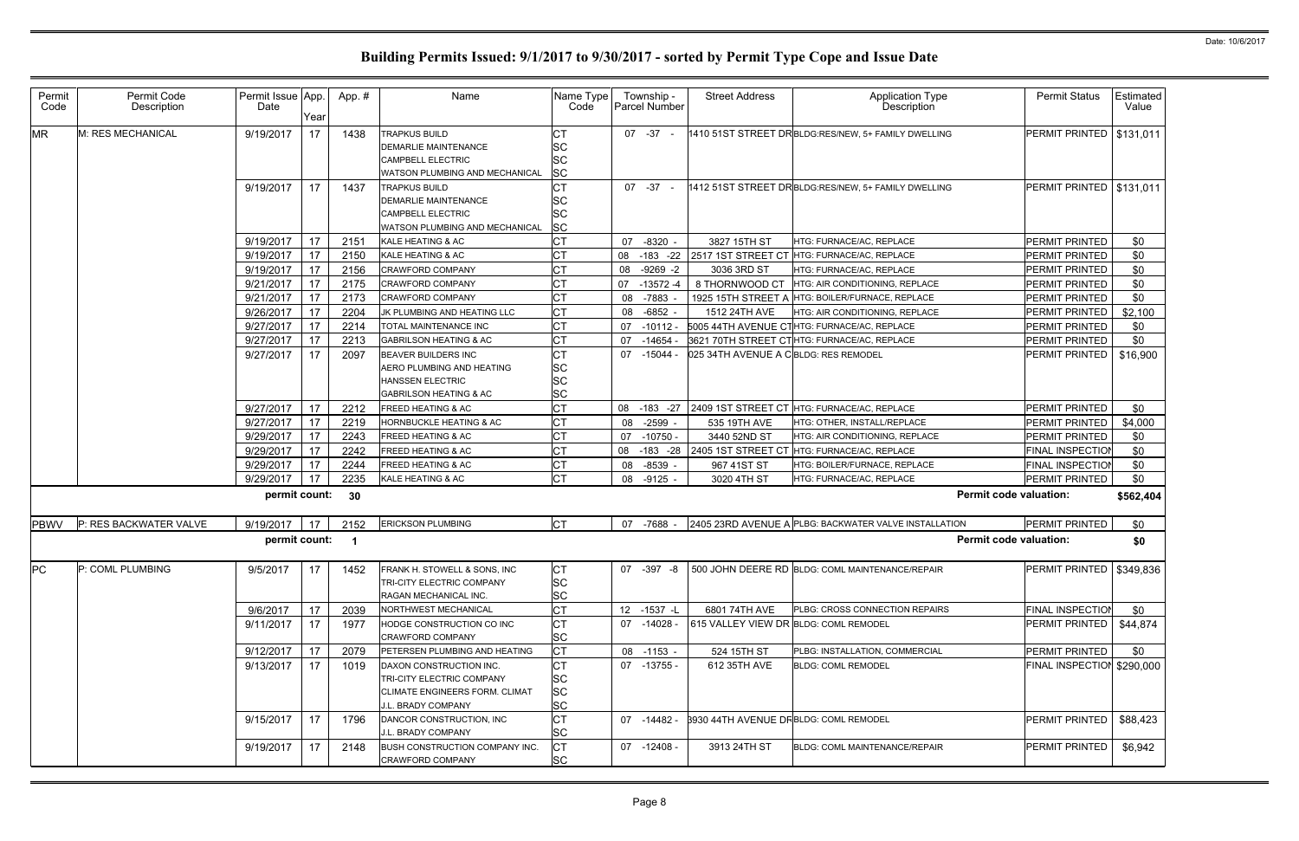| Permit<br>Code | Permit Code<br>Description | Permit Issue App.<br>Date | Year | App.#        | Name                                                                                                              | Name Type<br>Code           |    | Township -<br>Parcel Number | <b>Street Address</b>                        | <b>Application Type</b><br>Description                     | <b>Permit Status</b>       | Estimated<br>Value |
|----------------|----------------------------|---------------------------|------|--------------|-------------------------------------------------------------------------------------------------------------------|-----------------------------|----|-----------------------------|----------------------------------------------|------------------------------------------------------------|----------------------------|--------------------|
| <b>MR</b>      | M: RES MECHANICAL          | 9/19/2017                 | 17   | 1438         | <b>TRAPKUS BUILD</b><br><b>DEMARLIE MAINTENANCE</b><br><b>CAMPBELL ELECTRIC</b><br>WATSON PLUMBING AND MECHANICAL | СT<br>SC<br>SC<br><b>SC</b> |    | $07 - 37 -$                 |                                              | 1410 51ST STREET DR BLDG:RES/NEW, 5+ FAMILY DWELLING       | PERMIT PRINTED             | \$131,011          |
|                |                            | 9/19/2017                 | 17   | 1437         | <b>TRAPKUS BUILD</b><br><b>DEMARLIE MAINTENANCE</b><br><b>CAMPBELL ELECTRIC</b><br>WATSON PLUMBING AND MECHANICAL | <b>CT</b><br>SC<br>SC<br>SC |    | $07 - 37 -$                 |                                              | 1412 51ST STREET DRBLDG:RES/NEW, 5+ FAMILY DWELLING        | PERMIT PRINTED             | \$131,011          |
|                |                            | 9/19/2017                 | 17   | 2151         | KALE HEATING & AC                                                                                                 | <b>CT</b>                   | 07 | $-8320 -$                   | 3827 15TH ST                                 | HTG: FURNACE/AC, REPLACE                                   | PERMIT PRINTED             | \$0                |
|                |                            | 9/19/2017                 | -17  | 2150         | KALE HEATING & AC                                                                                                 | <b>CT</b>                   | 08 |                             |                                              | -183 -22 2517 1ST STREET CT HTG: FURNACE/AC, REPLACE       | <b>PERMIT PRINTED</b>      | \$0                |
|                |                            | 9/19/2017                 | 17   | 2156         | <b>CRAWFORD COMPANY</b>                                                                                           | <b>CT</b>                   |    | 08 -9269 -2                 | 3036 3RD ST                                  | HTG: FURNACE/AC, REPLACE                                   | PERMIT PRINTED             | \$0                |
|                |                            | 9/21/2017                 | 17   | 2175         | <b>CRAWFORD COMPANY</b>                                                                                           | <b>CT</b>                   | 07 | $-13572 - 4$                | 8 THORNWOOD CT                               | HTG: AIR CONDITIONING, REPLACE                             | <b>PERMIT PRINTED</b>      | \$0                |
|                |                            | 9/21/2017                 | 17   | 2173         | <b>CRAWFORD COMPANY</b>                                                                                           | <b>CT</b>                   | 08 | -7883                       | 1925 15TH STREET A                           | HTG: BOILER/FURNACE, REPLACE                               | PERMIT PRINTED             | \$0                |
|                |                            | 9/26/2017                 | 17   | 2204         | JK PLUMBING AND HEATING LLC                                                                                       | <b>CT</b>                   | 08 | $-6852$                     | 1512 24TH AVE                                | HTG: AIR CONDITIONING, REPLACE                             | PERMIT PRINTED             | \$2,100            |
|                |                            | 9/27/2017                 | 17   | 2214         | TOTAL MAINTENANCE INC                                                                                             | <b>CT</b>                   | 07 | $-10112$                    |                                              | 5005 44TH AVENUE CTHTG: FURNACE/AC, REPLACE                | PERMIT PRINTED             | \$0                |
|                |                            | 9/27/2017                 | 17   | 2213         | <b>GABRILSON HEATING &amp; AC</b>                                                                                 | <b>CT</b>                   | 07 | $-14654$                    |                                              | 3621 70TH STREET CTHTG: FURNACE/AC, REPLACE                | <b>PERMIT PRINTED</b>      | \$0                |
|                |                            | 9/27/2017                 | 17   | 2097         | <b>BEAVER BUILDERS INC</b>                                                                                        | <b>CT</b>                   | 07 | -15044 -                    | 025 34TH AVENUE A CBLDG: RES REMODEL         |                                                            | <b>PERMIT PRINTED</b>      | \$16,900           |
|                |                            |                           |      |              | AERO PLUMBING AND HEATING                                                                                         | <b>SC</b>                   |    |                             |                                              |                                                            |                            |                    |
|                |                            |                           |      |              | <b>HANSSEN ELECTRIC</b>                                                                                           | SC                          |    |                             |                                              |                                                            |                            |                    |
|                |                            |                           |      |              | <b>GABRILSON HEATING &amp; AC</b>                                                                                 | SC                          |    |                             |                                              |                                                            |                            |                    |
|                |                            | 9/27/2017                 | 17   | 2212         | <b>FREED HEATING &amp; AC</b>                                                                                     | <b>CT</b>                   |    |                             |                                              | 08 -183 -27 2409 1ST STREET CT HTG: FURNACE/AC, REPLACE    | PERMIT PRINTED             | \$0                |
|                |                            | 9/27/2017                 | 17   | 2219         | HORNBUCKLE HEATING & AC                                                                                           | <b>CT</b>                   | 08 | $-2599 -$                   | 535 19TH AVE                                 | HTG: OTHER, INSTALL/REPLACE                                | PERMIT PRINTED             | \$4,000            |
|                |                            | 9/29/2017                 | 17   | 2243         | FREED HEATING & AC                                                                                                | <b>CT</b>                   | 07 | $-10750 -$                  | 3440 52ND ST                                 | HTG: AIR CONDITIONING, REPLACE                             | PERMIT PRINTED             | \$0                |
|                |                            | 9/29/2017                 | 17   | 2242         | FREED HEATING & AC                                                                                                | <b>CT</b>                   |    | 08 -183 -28                 | 2405 1ST STREET CT                           | HTG: FURNACE/AC, REPLACE                                   | <b>FINAL INSPECTION</b>    | \$0                |
|                |                            | 9/29/2017                 | 17   | 2244         | FREED HEATING & AC                                                                                                | <b>CT</b>                   | 08 | $-8539 -$                   | 967 41ST ST                                  | HTG: BOILER/FURNACE, REPLACE                               | <b>FINAL INSPECTION</b>    | \$0                |
|                |                            | 9/29/2017                 | 17   | 2235         | KALE HEATING & AC                                                                                                 | <b>CT</b>                   |    | 08 -9125 -                  | 3020 4TH ST                                  | HTG: FURNACE/AC, REPLACE                                   | PERMIT PRINTED             | \$0                |
|                |                            | permit count:             |      | 30           |                                                                                                                   |                             |    |                             |                                              | <b>Permit code valuation:</b>                              |                            | \$562,404          |
| <b>PBWV</b>    | P: RES BACKWATER VALVE     | 9/19/2017                 | -17  | 2152         | <b>ERICKSON PLUMBING</b>                                                                                          | <b>CT</b>                   |    | 07 -7688                    |                                              | 2405 23RD AVENUE A PLBG: BACKWATER VALVE INSTALLATION      | <b>PERMIT PRINTED</b>      | \$0                |
|                |                            | permit count:             |      | $\mathbf{1}$ |                                                                                                                   |                             |    |                             |                                              | <b>Permit code valuation:</b>                              |                            | \$0                |
| PC             | P: COML PLUMBING           | 9/5/2017                  | 17   | 1452         | FRANK H. STOWELL & SONS, INC                                                                                      | <b>CT</b>                   |    |                             |                                              | 07 -397 -8 500 JOHN DEERE RD BLDG: COML MAINTENANCE/REPAIR | PERMIT PRINTED   \$349,836 |                    |
|                |                            |                           |      |              | TRI-CITY ELECTRIC COMPANY                                                                                         | <b>SC</b>                   |    |                             |                                              |                                                            |                            |                    |
|                |                            |                           |      |              | RAGAN MECHANICAL INC.                                                                                             | <b>SC</b>                   |    |                             |                                              |                                                            |                            |                    |
|                |                            | 9/6/2017                  | 17   | 2039         | NORTHWEST MECHANICAL                                                                                              | <b>CT</b>                   |    | 12 -1537 -L                 | 6801 74TH AVE                                | PLBG: CROSS CONNECTION REPAIRS                             | FINAL INSPECTION           | \$0                |
|                |                            | 9/11/2017                 | 17   | 1977         | HODGE CONSTRUCTION CO INC                                                                                         | <b>CT</b>                   |    | 07 -14028 -                 | 615 VALLEY VIEW DR BLDG: COML REMODEL        |                                                            | PERMIT PRINTED             | \$44,874           |
|                |                            |                           |      |              | <b>CRAWFORD COMPANY</b>                                                                                           | SC                          |    |                             |                                              |                                                            |                            |                    |
|                |                            | 9/12/2017                 | 17   | 2079         | PETERSEN PLUMBING AND HEATING                                                                                     | <b>CT</b>                   |    | 08 -1153 -                  | 524 15TH ST                                  | PLBG: INSTALLATION, COMMERCIAL                             | PERMIT PRINTED             | \$0                |
|                |                            | 9/13/2017                 | 17   | 1019         | DAXON CONSTRUCTION INC.                                                                                           | <b>CT</b>                   |    | 07 -13755 -                 | 612 35TH AVE                                 | <b>BLDG: COML REMODEL</b>                                  | FINAL INSPECTION \$290,000 |                    |
|                |                            |                           |      |              | TRI-CITY ELECTRIC COMPANY                                                                                         | SC                          |    |                             |                                              |                                                            |                            |                    |
|                |                            |                           |      |              | <b>CLIMATE ENGINEERS FORM. CLIMAT</b>                                                                             | SC                          |    |                             |                                              |                                                            |                            |                    |
|                |                            |                           |      |              | J.L. BRADY COMPANY                                                                                                | <b>SC</b>                   |    |                             |                                              |                                                            |                            |                    |
|                |                            | 9/15/2017                 | 17   | 1796         | DANCOR CONSTRUCTION, INC<br>J.L. BRADY COMPANY                                                                    | <b>CT</b><br><b>SC</b>      |    | 07 -14482 -                 | <b>8930 44TH AVENUE DRBLDG: COML REMODEL</b> |                                                            | PERMIT PRINTED             | \$88,423           |
|                |                            | 9/19/2017                 | 17   | 2148         | <b>BUSH CONSTRUCTION COMPANY INC.</b>                                                                             | <b>CT</b>                   |    | 07 -12408 -                 | 3913 24TH ST                                 | BLDG: COML MAINTENANCE/REPAIR                              | PERMIT PRINTED             | \$6,942            |
|                |                            |                           |      |              | CRAWFORD COMPANY                                                                                                  | SC                          |    |                             |                                              |                                                            |                            |                    |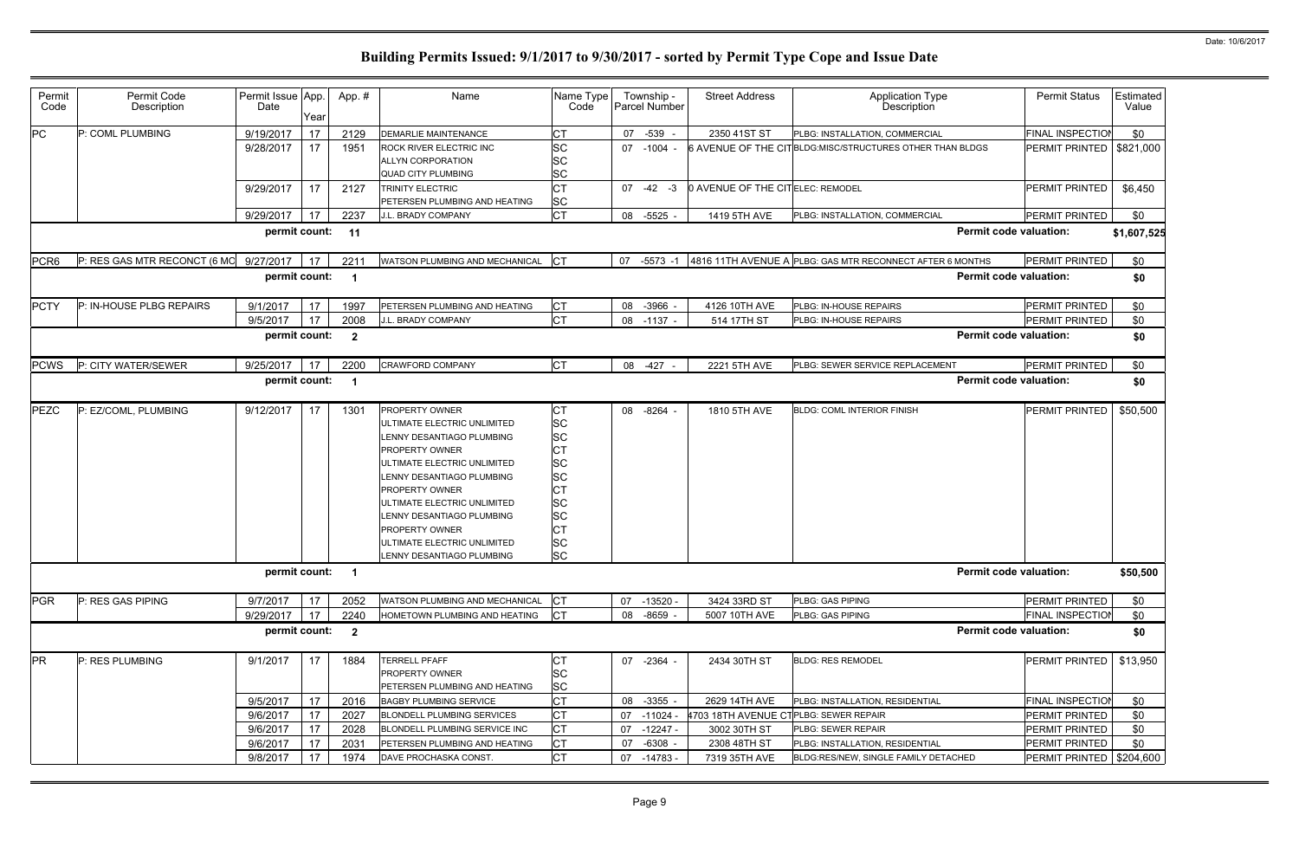| Permit<br>Code   | Permit Code<br>Description   | Permit Issue App.<br>Date | Year | App.#          | Name                                                                                                                                                                                                                                                                                                                                             | Name Type<br>Code                                                                                                                   | Township -<br>Parcel Number | <b>Street Address</b>                 | <b>Application Type</b><br>Description                    | <b>Permit Status</b>          | Estimated<br>Value |
|------------------|------------------------------|---------------------------|------|----------------|--------------------------------------------------------------------------------------------------------------------------------------------------------------------------------------------------------------------------------------------------------------------------------------------------------------------------------------------------|-------------------------------------------------------------------------------------------------------------------------------------|-----------------------------|---------------------------------------|-----------------------------------------------------------|-------------------------------|--------------------|
| <b>PC</b>        | P: COML PLUMBING             | 9/19/2017                 | 17   | 2129           | <b>DEMARLIE MAINTENANCE</b>                                                                                                                                                                                                                                                                                                                      | СT                                                                                                                                  | 07 -539                     | 2350 41ST ST                          | PLBG: INSTALLATION, COMMERCIAL                            | FINAL INSPECTION              | \$0                |
|                  |                              | 9/28/2017                 | 17   | 1951           | <b>ROCK RIVER ELECTRIC INC</b><br><b>ALLYN CORPORATION</b><br><b>QUAD CITY PLUMBING</b>                                                                                                                                                                                                                                                          | <b>SC</b><br><b>SC</b><br>SC                                                                                                        | 07 -1004                    |                                       | 6 AVENUE OF THE CITBLDG:MISC/STRUCTURES OTHER THAN BLDGS  | PERMIT PRINTED                | \$821,000          |
|                  |                              | 9/29/2017                 | 17   | 2127           | <b>TRINITY ELECTRIC</b><br>PETERSEN PLUMBING AND HEATING                                                                                                                                                                                                                                                                                         | СT<br><b>SC</b>                                                                                                                     | $07 -42 -3$                 | 0 AVENUE OF THE CITELEC: REMODEL      |                                                           | PERMIT PRINTED                | \$6,450            |
|                  |                              | 9/29/2017                 | 17   | 2237           | J.L. BRADY COMPANY                                                                                                                                                                                                                                                                                                                               | <b>CT</b>                                                                                                                           | 08 -5525 -                  | 1419 5TH AVE                          | PLBG: INSTALLATION, COMMERCIAL                            | PERMIT PRINTED                | \$0                |
|                  |                              | permit count:             |      | 11             |                                                                                                                                                                                                                                                                                                                                                  |                                                                                                                                     |                             |                                       |                                                           | <b>Permit code valuation:</b> | \$1,607,525        |
| PCR <sub>6</sub> | P: RES GAS MTR RECONCT (6 MC | 9/27/2017                 | 17   | 2211           | WATSON PLUMBING AND MECHANICAL                                                                                                                                                                                                                                                                                                                   | <b>ICT</b>                                                                                                                          | 07 -5573 -1                 |                                       | 4816 11TH AVENUE A PLBG: GAS MTR RECONNECT AFTER 6 MONTHS | PERMIT PRINTED                | \$0                |
|                  |                              | permit count:             |      | -1             |                                                                                                                                                                                                                                                                                                                                                  |                                                                                                                                     |                             |                                       |                                                           | <b>Permit code valuation:</b> | \$0                |
| <b>PCTY</b>      | P: IN-HOUSE PLBG REPAIRS     | 9/1/2017                  | 17   | 1997           | PETERSEN PLUMBING AND HEATING                                                                                                                                                                                                                                                                                                                    | <b>CT</b>                                                                                                                           | 08 -3966 -                  | 4126 10TH AVE                         | PLBG: IN-HOUSE REPAIRS                                    | <b>PERMIT PRINTED</b>         | \$0                |
|                  |                              | 9/5/2017                  | 17   | 2008           | J.L. BRADY COMPANY                                                                                                                                                                                                                                                                                                                               | <b>CT</b>                                                                                                                           | 08 -1137 -                  | 514 17TH ST                           | PLBG: IN-HOUSE REPAIRS                                    | PERMIT PRINTED                | \$0                |
|                  |                              | permit count:             |      | $\overline{2}$ |                                                                                                                                                                                                                                                                                                                                                  |                                                                                                                                     |                             |                                       |                                                           | <b>Permit code valuation:</b> | \$0                |
| <b>PCWS</b>      | P: CITY WATER/SEWER          | 9/25/2017                 | 17   | 2200           | <b>CRAWFORD COMPANY</b>                                                                                                                                                                                                                                                                                                                          | <b>CT</b>                                                                                                                           | $-427 -$<br>08              | 2221 5TH AVE                          | PLBG: SEWER SERVICE REPLACEMENT                           | <b>PERMIT PRINTED</b>         | \$0                |
|                  |                              | permit count:             |      |                |                                                                                                                                                                                                                                                                                                                                                  |                                                                                                                                     |                             |                                       |                                                           | <b>Permit code valuation:</b> | \$0                |
| PEZC             | P: EZ/COML, PLUMBING         | 9/12/2017                 | 17   | 1301           | <b>PROPERTY OWNER</b><br>ULTIMATE ELECTRIC UNLIMITED<br>LENNY DESANTIAGO PLUMBING<br><b>PROPERTY OWNER</b><br>ULTIMATE ELECTRIC UNLIMITED<br>LENNY DESANTIAGO PLUMBING<br><b>PROPERTY OWNER</b><br>ULTIMATE ELECTRIC UNLIMITED<br>LENNY DESANTIAGO PLUMBING<br><b>PROPERTY OWNER</b><br>JLTIMATE ELECTRIC UNLIMITED<br>LENNY DESANTIAGO PLUMBING | <b>CT</b><br>SC<br><b>SC</b><br>СT<br><b>SC</b><br><b>SC</b><br><b>CT</b><br><b>SC</b><br><b>SC</b><br>СT<br><b>SC</b><br><b>SC</b> | 08 -8264 -                  | 1810 5TH AVE                          | <b>BLDG: COML INTERIOR FINISH</b>                         | PERMIT PRINTED                | \$50,500           |
|                  |                              | permit count:             |      | -1             |                                                                                                                                                                                                                                                                                                                                                  |                                                                                                                                     |                             |                                       |                                                           | <b>Permit code valuation:</b> | \$50,500           |
| <b>PGR</b>       | P: RES GAS PIPING            | 9/7/2017                  | 17   | 2052           | <b>WATSON PLUMBING AND MECHANICAL</b>                                                                                                                                                                                                                                                                                                            | $ _{\rm CT}$                                                                                                                        | 07 -13520 -                 | 3424 33RD ST                          | PLBG: GAS PIPING                                          | PERMIT PRINTED                | \$0                |
|                  |                              | 9/29/2017                 | 17   | 2240           | HOMETOWN PLUMBING AND HEATING                                                                                                                                                                                                                                                                                                                    | <b>CT</b>                                                                                                                           | 08<br>$-8659 -$             | 5007 10TH AVE                         | PLBG: GAS PIPING                                          | FINAL INSPECTION              | \$0                |
|                  |                              | permit count:             |      | $\overline{2}$ |                                                                                                                                                                                                                                                                                                                                                  |                                                                                                                                     |                             |                                       |                                                           | <b>Permit code valuation:</b> | \$0                |
| <b>PR</b>        | P: RES PLUMBING              | 9/1/2017                  | 17   | 1884           | <b>TERRELL PFAFF</b><br><b>PROPERTY OWNER</b><br>PETERSEN PLUMBING AND HEATING                                                                                                                                                                                                                                                                   | СT<br><b>SC</b><br><b>SC</b>                                                                                                        | 07 -2364 -                  | 2434 30TH ST                          | <b>BLDG: RES REMODEL</b>                                  | PERMIT PRINTED                | \$13,950           |
|                  |                              | 9/5/2017                  | 17   | 2016           | <b>BAGBY PLUMBING SERVICE</b>                                                                                                                                                                                                                                                                                                                    | <b>CT</b>                                                                                                                           | 08 -3355 -                  | 2629 14TH AVE                         | PLBG: INSTALLATION, RESIDENTIAL                           | <b>FINAL INSPECTION</b>       | \$0                |
|                  |                              | 9/6/2017                  | 17   | 2027           | <b>BLONDELL PLUMBING SERVICES</b>                                                                                                                                                                                                                                                                                                                | C <sub>T</sub>                                                                                                                      | 07 -11024                   | 4703 18TH AVENUE CTPLBG: SEWER REPAIR |                                                           | PERMIT PRINTED                | \$0                |
|                  |                              | 9/6/2017                  | 17   | 2028           | BLONDELL PLUMBING SERVICE INC                                                                                                                                                                                                                                                                                                                    | <b>CT</b>                                                                                                                           | 07 -12247 -                 | 3002 30TH ST                          | PLBG: SEWER REPAIR                                        | PERMIT PRINTED                | \$0                |
|                  |                              | 9/6/2017                  | 17   | 2031           | PETERSEN PLUMBING AND HEATING                                                                                                                                                                                                                                                                                                                    | СT                                                                                                                                  | $-6308 -$<br>07             | 2308 48TH ST                          | PLBG: INSTALLATION, RESIDENTIAL                           | PERMIT PRINTED                | \$0                |
|                  |                              | 9/8/2017                  | 17   | 1974           | DAVE PROCHASKA CONST.                                                                                                                                                                                                                                                                                                                            | <b>CT</b>                                                                                                                           | $-14783 -$<br>07            | 7319 35TH AVE                         | BLDG:RES/NEW, SINGLE FAMILY DETACHED                      | PERMIT PRINTED   \$204,600    |                    |